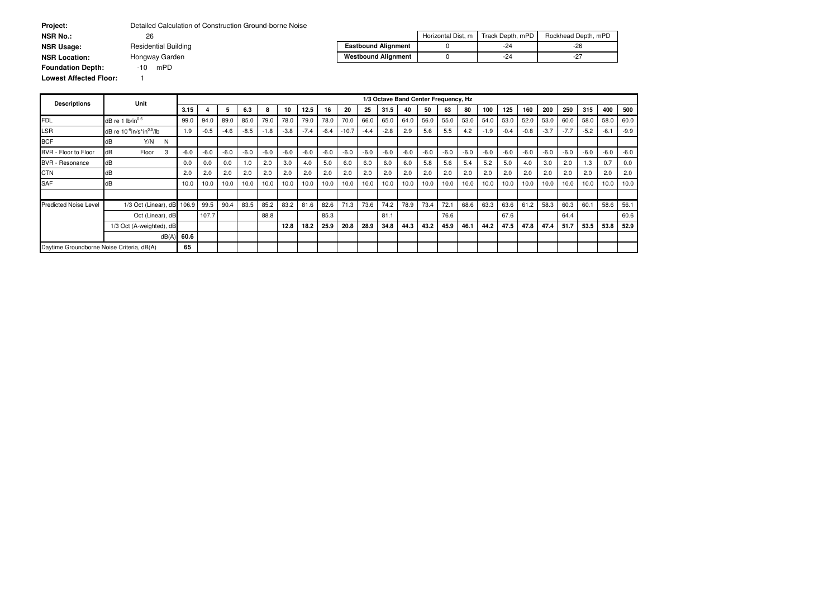| <b>Project:</b>               | Detailed Calculation of Construction Ground-borne Noise |                            |                    |                  |                     |
|-------------------------------|---------------------------------------------------------|----------------------------|--------------------|------------------|---------------------|
| <b>NSR No.:</b>               | 26                                                      |                            | Horizontal Dist, m | Track Depth, mPD | Rockhead Depth, mPD |
| <b>NSR Usage:</b>             | <b>Residential Building</b>                             | <b>Eastbound Alignment</b> |                    | -24              | -26                 |
| <b>NSR Location:</b>          | Hongway Garden                                          | <b>Westbound Alignment</b> |                    | $-24$            | -27                 |
| <b>Foundation Depth:</b>      | mPD<br>-10                                              |                            |                    |                  |                     |
| <b>Lowest Affected Floor:</b> |                                                         |                            |                    |                  |                     |

| <b>Descriptions</b>                       | <b>Unit</b>                                       |        |        |        |        |        |        |        |        |         |        |        |        | 1/3 Octave Band Center Frequency, Hz |        |        |        |        |        |        |        |        |        |        |
|-------------------------------------------|---------------------------------------------------|--------|--------|--------|--------|--------|--------|--------|--------|---------|--------|--------|--------|--------------------------------------|--------|--------|--------|--------|--------|--------|--------|--------|--------|--------|
|                                           |                                                   | 3.15   |        | 5      | 6.3    | 8      | 10     | 12.5   | 16     | 20      | 25     | 31.5   | 40     | 50                                   | 63     | 80     | 100    | 125    | 160    | 200    | 250    | 315    | 400    | 500    |
| <b>FDL</b>                                | $dB$ re 1 lb/in $^{0.5}$                          | 99.0   | 94.0   | 89.0   | 85.0   | 79.0   | 78.0   | 79.0   | 78.0   | 70.0    | 66.0   | 65.0   | 64.0   | 56.0                                 | 55.0   | 53.0   | 54.0   | 53.0   | 52.0   | 53.0   | 60.0   | 58.0   | 58.0   | 60.0   |
| $\mathsf{LSR}$                            | dB re 10 <sup>-6</sup> in/s*in <sup>0.5</sup> /lb | 1.9    | $-0.5$ | $-4.6$ | $-8.5$ | $-1.8$ | $-3.8$ | $-7.4$ | $-6.4$ | $-10.7$ | $-4.4$ | $-2.8$ | 2.9    | 5.6                                  | 5.5    | 4.2    | $-1.9$ | $-0.4$ | $-0.8$ | $-3.7$ | $-7.7$ | $-5.2$ | $-6.1$ | $-9.9$ |
| <b>BCF</b>                                | Y/N<br>dB<br>N                                    |        |        |        |        |        |        |        |        |         |        |        |        |                                      |        |        |        |        |        |        |        |        |        |        |
| BVR - Floor to Floor                      | dB<br>Floor<br>3                                  | $-6.0$ | $-6.0$ | $-6.0$ | $-6.0$ | $-6.0$ | $-6.0$ | $-6.0$ | $-6.0$ | $-6.0$  | $-6.0$ | $-6.0$ | $-6.0$ | $-6.0$                               | $-6.0$ | $-6.0$ | $-6.0$ | $-6.0$ | $-6.0$ | $-6.0$ | $-6.0$ | $-6.0$ | $-6.0$ | $-6.0$ |
| <b>BVR</b> - Resonance                    | dB                                                | 0.0    | 0.0    | 0.0    | 1.0    | 2.0    | 3.0    | 4.0    | 5.0    | 6.0     | 6.0    | 6.0    | 6.0    | 5.8                                  | 5.6    | 5.4    | 5.2    | 5.0    | 4.0    | 3.0    | 2.0    | 1.3    | 0.7    | 0.0    |
| <b>CTN</b>                                | dB                                                | 2.0    | 2.0    | 2.0    | 2.0    | 2.0    | 2.0    | 2.0    | 2.0    | 2.0     | 2.0    | 2.0    | 2.0    | 2.0                                  | 2.0    | 2.0    | 2.0    | 2.0    | 2.0    | 2.0    | 2.0    | 2.0    | 2.0    | 2.0    |
| SAF                                       | dB                                                | 10.0   | 10.0   | 10.0   | 10.0   | 10.0   | 10.0   | 10.0   | 10.0   | 10.0    | 10.0   | 10.0   | 10.0   | 10.0                                 | 10.0   | 10.0   | 10.0   | 10.0   | 10.0   | 10.0   | 10.0   | 10.0   | 10.0   | 10.0   |
|                                           |                                                   |        |        |        |        |        |        |        |        |         |        |        |        |                                      |        |        |        |        |        |        |        |        |        |        |
| <b>Predicted Noise Level</b>              | 1/3 Oct (Linear), dB                              | 106.9  | 99.5   | 90.4   | 83.5   | 85.2   | 83.2   | 81.6   | 82.6   | 71.3    | 73.6   | 74.2   | 78.9   | 73.4                                 | 72.1   | 68.6   | 63.3   | 63.6   | 61.2   | 58.3   | 60.3   | 60.1   | 58.6   | 56.1   |
|                                           | Oct (Linear), dB                                  |        | 107.7  |        |        | 88.8   |        |        | 85.3   |         |        | 81.1   |        |                                      | 76.6   |        |        | 67.6   |        |        | 64.4   |        |        | 60.6   |
|                                           | 1/3 Oct (A-weighted), dB                          |        |        |        |        |        | 12.8   | 18.2   | 25.9   | 20.8    | 28.9   | 34.8   | 44.3   | 43.2                                 | 45.9   | 46.1   | 44.2   | 47.5   | 47.8   | 47.4   | 51.7   | 53.5   | 53.8   | 52.9   |
|                                           | dB(A)                                             | 60.6   |        |        |        |        |        |        |        |         |        |        |        |                                      |        |        |        |        |        |        |        |        |        |        |
| Daytime Groundborne Noise Criteria, dB(A) |                                                   | 65     |        |        |        |        |        |        |        |         |        |        |        |                                      |        |        |        |        |        |        |        |        |        |        |

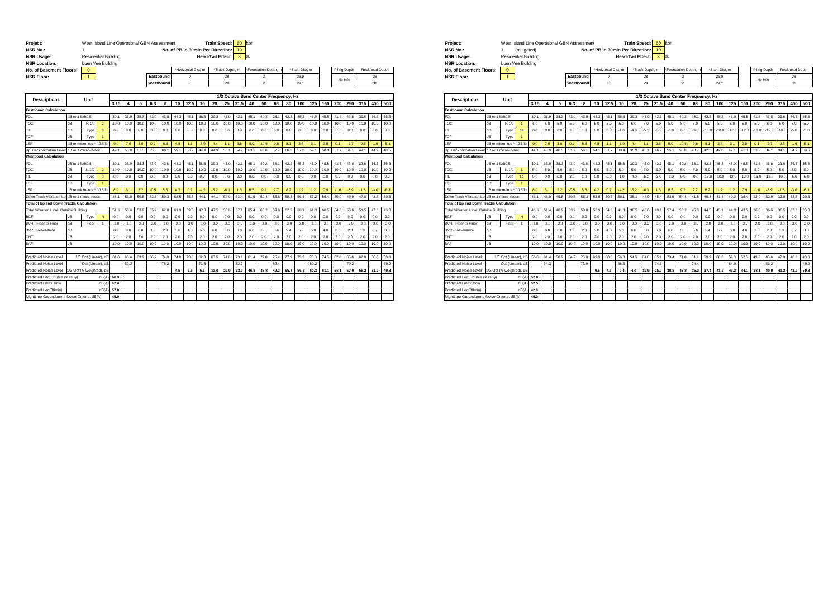| Project:                                        |                  |                             | West Island Line Operational GBN Assessment |        |        |        |        |           |        |                     |        | <b>Train Speed:</b>               |                 | 60     | kph    |                                  |                                      |        |                |        |        |        |              |        |                |        |
|-------------------------------------------------|------------------|-----------------------------|---------------------------------------------|--------|--------|--------|--------|-----------|--------|---------------------|--------|-----------------------------------|-----------------|--------|--------|----------------------------------|--------------------------------------|--------|----------------|--------|--------|--------|--------------|--------|----------------|--------|
| <b>NSR No.:</b>                                 |                  | 1                           |                                             |        |        |        |        |           |        |                     |        | No. of PB in 30min Per Direction: |                 | 10     |        |                                  |                                      |        |                |        |        |        |              |        |                |        |
| <b>NSR Usage:</b>                               |                  | <b>Residential Building</b> |                                             |        |        |        |        |           |        |                     |        | <b>Head-Tail Effect:</b>          |                 | 3      | dB     |                                  |                                      |        |                |        |        |        |              |        |                |        |
| <b>NSR Location:</b><br>No. of Basement Floors: |                  | Luen Yee Building           |                                             |        |        |        |        |           |        | *Horizontal Dist. m |        |                                   |                 |        |        | *Foundation Depth, n             |                                      |        | *Slant Dist. m |        |        |        |              |        | Rockhead Depth |        |
| <b>NSR Floor:</b>                               |                  | $\mathbf 0$<br>$\mathbf{1}$ |                                             |        |        |        |        | Eastbound |        | $\overline{7}$      |        |                                   | *Track Depth, m |        |        |                                  |                                      |        | 26.9           |        |        |        | Piling Depth |        | 28             |        |
|                                                 |                  |                             |                                             |        |        |        |        | Westbound |        | 13                  |        |                                   | 28<br>28        |        |        | $\overline{2}$<br>$\overline{2}$ |                                      |        | 29.1           |        |        |        | No Info      |        | 31             |        |
|                                                 |                  |                             |                                             |        |        |        |        |           |        |                     |        |                                   |                 |        |        |                                  |                                      |        |                |        |        |        |              |        |                |        |
|                                                 |                  |                             |                                             |        |        |        |        |           |        |                     |        |                                   |                 |        |        |                                  | 1/3 Octave Band Center Frequency, Hz |        |                |        |        |        |              |        |                |        |
| <b>Descriptions</b>                             |                  | Unit                        |                                             | 3.15   | 4      | 5      | 6.3    | 8         | 10     | 12.5                | 16     | 20                                | 25              | 31.5   | 40     | 50                               | 63                                   | 80     | 100            | 125    | 160    | 200    | 250          | 315    | 400            | 500    |
| <b>Eastbound Calculation</b>                    |                  |                             |                                             |        |        |        |        |           |        |                     |        |                                   |                 |        |        |                                  |                                      |        |                |        |        |        |              |        |                |        |
| FDL                                             | dB re 1 lb/ft0.5 |                             |                                             | 30.1   | 36.9   | 38.3   | 43.0   | 43.8      | 44.3   | 45.1                | 38.3   | 39.3                              | 45.0            | 42.1   | 45.1   | 40.2                             | 38.1                                 | 42.2   | 45.2           | 46.0   | 45.5   | 41.6   | 43.8         | 39.6   | 36.5           | 35.6   |
| гос                                             | dB               | N/1/2                       | $\overline{2}$                              | 10.0   | 10.0   | 10.0   | 10.0   | 10.0      | 10.0   | 10.0                | 10.0   | 10.0                              | 10.0            | 10.0   | 10.0   | 10.0                             | 10.0                                 | 10.0   | 10.0           | 10.0   | 10.0   | 10.0   | 10.0         | 10.0   | 10.0           | 10.0   |
| TIL                                             | dB               | Type                        | $\mathbf{0}$                                | 0.0    | 0.0    | 0.0    | 0.0    | 0.0       | 0.0    | 0.0                 | 0.0    | 0.0                               | 0.0             | 0.0    | 0.0    | 0.0                              | 0.0                                  | 0.0    | 0.0            | 0.0    | 0.0    | 0.0    | 0.0          | 0.0    | 0.0            | 0.0    |
| <b>TCF</b>                                      | dB               | Type                        | 1                                           |        |        |        |        |           |        |                     |        |                                   |                 |        |        |                                  |                                      |        |                |        |        |        |              |        |                |        |
| SR.                                             |                  | dB re micro-in/s * ft0.5/lb |                                             | 9.0    | 7.0    | 3.0    | 0.2    | 6.3       | 4.8    | 1.1                 | $-3.9$ | $-4.4$                            | 1.1             | 2.6    | 8.0    | 10.6                             | 9.6                                  | 8.1    | 2.6            | 3.1    | 2.8    | 0.1    | $-2.7$       | $-0.5$ | $-1.6$         | $-5.1$ |
| Jo Track Vibration Level                        |                  | dB re 1 micro-in/sec        |                                             | 49.1   | 53.9   | 51.3   | 53.2   | 60.1      | 59.1   | 56.2                | 44.4   | 44.9                              | 56.1            | 54.7   | 63.1   | 60.8                             | 57.7                                 | 60.3   | 57.8           | 59.1   | 58.3   | 51.7   | 51.1         | 49.1   | 44.9           | 40.5   |
| <b>Westbond Calculation</b>                     |                  |                             |                                             |        |        |        |        |           |        |                     |        |                                   |                 |        |        |                                  |                                      |        |                |        |        |        |              |        |                |        |
| <b>FDL</b>                                      | dB re 1 lb/ft0.5 |                             |                                             | 30.1   | 36.9   | 38.3   | 43.0   | 43.8      | 44.3   | 45.1                | 38.3   | 39.3                              | 45.0            | 42.1   | 45.1   | 40.2                             | 38.1                                 | 42.2   | 45.2           | 46.0   | 45.5   | 41.6   | 43.8         | 39.6   | 36.5           | 35.6   |
| тос                                             | dB               | N/1/2                       | $\overline{2}$                              | 10.0   | 10.0   | 10.0   | 10.0   | 10.0      | 10.0   | 10.0                | 10.0   | 10.0                              | 10.0            | 10.0   | 10.0   | 10.0                             | 10.0                                 | 10.0   | 10.0           | 10.0   | 10.0   | 10.0   | 10.0         | 10.0   | 10.0           | 10.0   |
| ГIL                                             | dB               | Type                        | $\mathbf{0}$                                | 0.0    | 0.0    | 0.0    | 0.0    | 0.0       | 0.0    | 0.0                 | 0.0    | 0.0                               | 0.0             | 0.0    | 0.0    | 0.0                              | 0.0                                  | 0.0    | 0.0            | 0.0    | 0.0    | 0.0    | 0.0          | 0.0    | 0.0            | 0.0    |
| <b>CF</b>                                       | dB               | Type                        | $\overline{1}$                              |        |        |        |        |           |        |                     |        |                                   |                 |        |        |                                  |                                      |        |                |        |        |        |              |        |                |        |
| SR.                                             |                  | dB re micro-in/s * ft0.5/lb |                                             | 8.0    | 6.1    | 2.2    | $-0.5$ | 5.5       | 4.2    | 0.7                 | $-4.2$ | $-5.2$                            | $-0.1$          | 1.3    | 6.5    | 9.2                              | 7.7                                  | 6.2    | 1.2            | 1.2    | 0.9    | $-1.6$ | $-3.9$       | $-1.8$ | $-3.0$         | $-6.3$ |
| Down Track Vibration LevidB re 1 micro-in/sec   |                  |                             |                                             | 48.1   | 53.0   | 50.5   | 52.5   | 59.3      | 58.5   | 55.8                | 44.1   | 44.1                              | 54.9            | 53.4   | 61.6   | 59.4                             | 55.8                                 | 58.4   | 56.4           | 57.2   | 56.4   | 50.0   | 49.9         | 47.8   | 43.5           | 39.3   |
| otal of Up and Down Tracks Calculation          |                  |                             |                                             |        |        |        |        |           |        |                     |        |                                   |                 |        |        |                                  |                                      |        |                |        |        |        |              |        |                |        |
| <b>Total Vibration Level Outside Building</b>   |                  |                             |                                             | 51.6   | 56.4   | 53.9   | 55.9   | 62.8      | 61.9   | 59.0                | 47.3   | 47.5                              | 58.6            | 57.1   | 65.4   | 63.2                             | 59.8                                 | 62.5   | 60.1           | 61.3   | 60.5   | 54.0   | 53.6         | 51.5   | 47.3           | 43.0   |
| <b>BCF</b>                                      | dB               | Type                        | N                                           | 0.0    | 0.0    | 0.0    | 0.0    | 0.0       | 0.0    | 0.0                 | 0.0    | 0.0                               | 0.0             | 0.0    | 0.0    | 0.0                              | 0.0                                  | 0.0    | 0.0            | 0.0    | 0.0    | 0.0    | 0.0          | 0.0    | 0.0            | 0.0    |
| BVR - Floor to Floor                            | AB               | Floor                       |                                             | $-2.0$ | $-2.0$ | $-2.0$ | $-2.0$ | $-2.0$    | $-2.0$ | $-2.0$              | $-2.0$ | $-2.0$                            | $-2.0$          | $-2.0$ | $-2.0$ | $-2.0$                           | $-2.0$                               | $-2.0$ | $-2.0$         | $-2.0$ | $-2.0$ | $-2.0$ | $-2.0$       | $-2.0$ | $-2.0$         | $-2.0$ |
| <b>BVR - Resonance</b>                          | dB               |                             |                                             | 0.0    | 0.0    | 0.0    | 1.0    | 2.0       | 3.0    | 4.0                 | 5.0    | 6.0                               | 6.0             | 6.0    | 6.0    | 5.8                              | 5.6                                  | 5.4    | 5.2            | 5.0    | 4.0    | 3.0    | 2.0          | 1.3    | 0.7            | 0.0    |
| CNT                                             | dB               |                             |                                             | 2.0    | 2.0    | 20     | 2.0    | 20        | 2.0    | 2.0                 | 2.0    | 2.0                               | 2.0             | 2.0    | 2.0    | 20                               | 20                                   | 2.0    | 2.0            | 2.0    | 20     | 2.0    | 2.0          | 2.0    | 2.0            | 2.0    |
| SAF                                             | dB               |                             |                                             | 10.0   | 10.0   | 10.0   | 10.0   | 10.0      | 10.0   | 10.0                | 10.0   | 10.0                              | 10.0            | 10.0   | 10.0   | 10.0                             | 10.0                                 | 10.0   | 10.0           | 10.0   | 10.0   | 10.0   | 10.0         | 10.0   | 10.0           | 10.0   |
|                                                 |                  |                             |                                             |        |        |        |        |           |        |                     |        |                                   |                 |        |        |                                  |                                      |        |                |        |        |        |              |        |                |        |
| Predicted Noise Level                           |                  | 1/3 Oct (Linear), dB        |                                             | 61.6   | 66.4   | 63.9   | 66.9   | 74.8      | 74.9   | 73.0                | 62.3   | 63.5                              | 74.6            | 73.1   | 81.4   | 79.0                             | 75.4                                 | 77.9   | 75.3           | 76.3   | 74.5   | 67.0   | 65.6         | 62.8   | 58.0           | 53.0   |
| Predicted Noise Level                           |                  | Oct (Linear), dB            |                                             |        | 69.2   |        |        | 78.2      |        |                     | 73.8   |                                   |                 | 82.7   |        |                                  | 82.4                                 |        |                | 80.2   |        |        | 70.2         |        |                | 59.2   |
| Predicted Noise Level                           |                  | /3 Oct (A-weighted), dB     |                                             |        |        |        |        |           | 4.5    | 9.6                 | 5.6    | 13.0                              | 29.9            | 33.7   | 46.8   | 48.8                             | 49.2                                 | 55.4   | 56.2           | 60.2   | 61.1   | 56.1   | 57.0         | 56.2   | 53.2           | 49.8   |
| Predicted Leg(Double PassBy)                    |                  |                             | dB(A)                                       | 66.9   |        |        |        |           |        |                     |        |                                   |                 |        |        |                                  |                                      |        |                |        |        |        |              |        |                |        |
| Predicted Lmax, slow                            |                  |                             | dB(A)                                       | 67.4   |        |        |        |           |        |                     |        |                                   |                 |        |        |                                  |                                      |        |                |        |        |        |              |        |                |        |
| Predicted Leg(30min)                            |                  |                             | dB(A                                        | 57.8   |        |        |        |           |        |                     |        |                                   |                 |        |        |                                  |                                      |        |                |        |        |        |              |        |                |        |
| Nighttime Groundborne Noise Criteria, dB(A)     |                  |                             |                                             | 45.0   |        |        |        |           |        |                     |        |                                   |                 |        |        |                                  |                                      |        |                |        |        |        |              |        |                |        |

| Project:                | West Island Line Operational GBN Assessment |           |                                   | Train Speed: 60 kph      |                      |                |              |                |
|-------------------------|---------------------------------------------|-----------|-----------------------------------|--------------------------|----------------------|----------------|--------------|----------------|
| <b>NSR No.:</b>         | (mitigated)                                 |           | No. of PB in 30min Per Direction: | 10 <sup>1</sup>          |                      |                |              |                |
| <b>NSR Usage:</b>       | <b>Residential Building</b>                 |           |                                   | <b>Head-Tail Effect:</b> | <b>dB</b>            |                |              |                |
| <b>NSR Location:</b>    | Luen Yee Building                           |           |                                   |                          |                      |                |              |                |
| No. of Basement Floors: | $\mathbf{0}$                                |           | *Horizontal Dist. m               | *Track Depth, m          | *Foundation Depth, m | *Slant Dist. m | Piling Depth | Rockhead Depth |
| <b>NSR Floor:</b>       |                                             | Eastbound |                                   | 28                       |                      | 26.9           | No Info      | 28             |
|                         |                                             | Westbound | 13                                | 28                       |                      | 29.1           |              | 31             |
|                         |                                             |           |                                   |                          |                      |                |              |                |

| <b>Descriptions</b>                            |                  | Unit                        |                      |        |        |        |        |        |        |        |        |        |        |        |        | 1/3 Octave Band Center Frequency, Hz |        |         |         |         |         |         |         |         |        |        |
|------------------------------------------------|------------------|-----------------------------|----------------------|--------|--------|--------|--------|--------|--------|--------|--------|--------|--------|--------|--------|--------------------------------------|--------|---------|---------|---------|---------|---------|---------|---------|--------|--------|
|                                                |                  |                             |                      | 3.15   |        | 5      | 6.3    | 8      | 10     | 12.5   | 16     | 20     | 25     | 31.5   | 40     | 50                                   | 63     | 80      | 100     | 125     | 160     | 200     | 250     | 315     | 400    | 500    |
| <b>Easthound Calculation</b>                   |                  |                             |                      |        |        |        |        |        |        |        |        |        |        |        |        |                                      |        |         |         |         |         |         |         |         |        |        |
| <b>FDL</b>                                     | dB re 1 lb/ft0 5 |                             |                      | 30.1   | 36.9   | 38.3   | 43.0   | 43.8   | 44.3   | 45.1   | 38.3   | 39.3   | 45.0   | 42.1   | 45.1   | 40.2                                 | 38.1   | 42.2    | 45.2    | 46.0    | 45.5    | 41.6    | 43.8    | 39.6    | 36.5   | 35.6   |
| TOC                                            | dB               | N/1/2                       | $\mathbf{1}$         | 5.0    | 5.0    | 5.0    | 5.0    | 5.0    | 5.0    | 5.0    | 5.0    | 5.0    | 5.0    | 5.0    | 5.0    | 5.0                                  | 5.0    | 5.0     | 5.0     | 5.0     | 5.0     | 5.0     | 5.0     | 5.0     | 5.0    | 5.0    |
| TIL                                            | dB               | Type                        | 1a                   | 0.0    | 0.0    | 0.0    | 3.0    | 1.0    | 0.0    | 0.0    | $-1.0$ | $-4.0$ | $-5.0$ | $-3.0$ | $-3.0$ | 0.0                                  | $-9.0$ | $-13.0$ | $-10.0$ | $-12.0$ | $-12.0$ | $-13.0$ | $-12.0$ | $-10.0$ | $-5.0$ | $-5.0$ |
| TCF                                            | dB               | Type                        | $\blacktriangleleft$ |        |        |        |        |        |        |        |        |        |        |        |        |                                      |        |         |         |         |         |         |         |         |        |        |
| LSR                                            |                  | dB re micro-in/s * ft0.5/lb |                      | 9.0    | 7.0    | 3.0    | 0.2    | 6.3    | 4.8    | 1.1    | $-3.9$ | $-44$  | 1.1    | 2.6    | 8.0    | 10.6                                 | 9.6    | 8.1     | 2.6     | 3.1     | 2.8     | 0.1     | $-2.7$  | $-0.5$  | $-1.6$ | $-5.1$ |
| Jo Track Vibration Level dB re 1 micro-in/sec  |                  |                             |                      | 44.1   | 48.9   | 46.3   | 51.2   | 56.1   | 54.1   | 51.2   | 38.4   | 35.9   | 46.1   | 46.7   | 55.1   | 55.8                                 | 43.7   | 42.3    | 42.8    | 42.1    | 41.3    | 33.7    | 34.1    | 34.1    | 34.9   | 30.5   |
| <b>Westbond Calculation</b>                    |                  |                             |                      |        |        |        |        |        |        |        |        |        |        |        |        |                                      |        |         |         |         |         |         |         |         |        |        |
| <b>FDL</b>                                     | dB re 1 lb/ft0.5 |                             |                      | 30.1   | 36.9   | 38.3   | 43.0   | 43.8   | 44.3   | 45.1   | 38.3   | 39.3   | 45.0   | 42.1   | 45.1   | 40.2                                 | 38.1   | 42.2    | 45.2    | 46.0    | 45.5    | 41.6    | 43.8    | 39.6    | 36.5   | 35.6   |
| TOC                                            | dB               | N/1/2                       | $\blacktriangleleft$ | 5.0    | 5.0    | 5.0    | 5.0    | 5.0    | 5.0    | 5.0    | 5.0    | 5.0    | 5.0    | 5.0    | 5.0    | 5.0                                  | 5.0    | 5.0     | 5.0     | 5.0     | 5.0     | 5.0     | 5.0     | 5.0     | 5.0    | 5.0    |
| TIL                                            | dB               | Type                        | 1a                   | 0.0    | 0.0    | 0.0    | 3.0    | 1.0    | 0.0    | 0.0    | $-1.0$ | $-4.0$ | $-5.0$ | $-3.0$ | $-3.0$ | 0.0                                  | $-9.0$ | $-13.0$ | $-10.0$ | $-12.0$ | $-12.0$ | $-13.0$ | $-12.0$ | $-10.0$ | $-5.0$ | $-5.0$ |
| TCF                                            | dB               | Type                        | $\mathbf{1}$         |        |        |        |        |        |        |        |        |        |        |        |        |                                      |        |         |         |         |         |         |         |         |        |        |
| .SR                                            |                  | dB re micro-in/s * ft0.5/lb |                      | 8.0    | 6.1    | 2.2    | $-0.5$ | 5.5    | 4.2    | 0.7    | $-4.2$ | $-5.2$ | $-0.1$ | 1.3    | 6.5    | 9.2                                  | 7.7    | 6.2     | 1.2     | 1.2     | 0.9     | $-1.6$  | $-3.9$  | $-1.8$  | $-3.0$ | $-6.3$ |
| Down Track Vibration LevidB re 1 micro-in/sec  |                  |                             |                      | 43.1   | 48.0   | 45.5   | 50.5   | 55.3   | 53.5   | 50.8   | 38.1   | 35.1   | 44.9   | 45.4   | 53.6   | 54.4                                 | 41.8   | 40.4    | 41.4    | 40.2    | 39.4    | 32.0    | 32.9    | 32.8    | 33.5   | 29.3   |
| <b>Total of Up and Down Tracks Calculation</b> |                  |                             |                      |        |        |        |        |        |        |        |        |        |        |        |        |                                      |        |         |         |         |         |         |         |         |        |        |
| <b>Total Vibration Level Outside Building</b>  |                  |                             |                      | 46.6   | 51.4   | 48.9   | 53.9   | 58.8   | 56.9   | 54.0   | 41.3   | 38.5   | 48.6   | 49.1   | 57.4   | 58.2                                 | 45.8   | 44.5    | 45.1    | 44.3    | 43.5    | 36.0    | 36.6    | 36.5    | 37.3   | 33.0   |
| <b>BCF</b>                                     | dB               | Type                        | N                    | 0.0    | 0.0    | 0.0    | 0.0    | 0.0    | 0.0    | 0.0    | 0.0    | 0.0    | 0.0    | 0.0    | 0.0    | 0.0                                  | 0.0    | 0.0     | 0.0     | 0.0     | 0.0     | 0.0     | 0.0     | 0.0     | 0.0    | 0.0    |
| <b>BVR - Floor to Floor</b>                    | dB               | Floor                       | $\overline{1}$       | $-2.0$ | $-2.0$ | $-2.0$ | $-2.0$ | $-2.0$ | $-2.0$ | $-2.0$ | $-2.0$ | $-2.0$ | $-2.0$ | $-2.0$ | $-2.0$ | $-2.0$                               | $-2.0$ | $-2.0$  | $-2.0$  | $-2.0$  | $-2.0$  | $-2.0$  | $-2.0$  | $-2.0$  | $-2.0$ | $-2.0$ |
| <b>BVR - Resonance</b>                         | dB               |                             |                      | 0.0    | 0.0    | 0.0    | 1.0    | 2.0    | 3.0    | 4.0    | 5.0    | 6.0    | 6.0    | 6.0    | 6.0    | 5.8                                  | 5.6    | 5.4     | 5.2     | 5.0     | 4.0     | 3.0     | 2.0     | 1.3     | 0.7    | 0.0    |
| CNT                                            | dB               |                             |                      | 2.0    | 2.0    | 2.0    | 2.0    | 2.0    | 2.0    | 2.0    | 2.0    | 2.0    | 2.0    | 2.0    | 2.0    | 2.0                                  | 2.0    | 2.0     | 2.0     | 2.0     | 2.0     | 2.0     | 2.0     | 2.0     | 2.0    | 2.0    |
| SAF                                            | dB               |                             |                      | 10.0   | 10.0   | 10.0   | 10.0   | 10.0   | 10.0   | 10.0   | 10.0   | 10.0   | 10.0   | 10.0   | 10.0   | 10.0                                 | 10.0   | 10.0    | 10.0    | 10.0    | 10.0    | 10.0    | 10.0    | 10.0    | 10.0   | 10.0   |
|                                                |                  |                             |                      |        |        |        |        |        |        |        |        |        |        |        |        |                                      |        |         |         |         |         |         |         |         |        |        |
| Predicted Noise Level                          |                  | 1/3 Oct (Linear), dB        |                      | 56.6   | 61.4   | 58.9   | 64.9   | 70.8   | 69.9   | 68.0   | 56.3   | 54.5   | 64.6   | 65.1   | 73.4   | 74.0                                 | 61.4   | 59.9    | 60.3    | 59.3    | 57.5    | 49.0    | 48.6    | 47.8    | 48.0   | 43.0   |
| Predicted Noise Level                          |                  | Oct (Linear), dB            |                      |        | 64.2   |        |        | 73.9   |        |        | 68.5   |        |        | 74.5   |        |                                      | 744    |         |         | 64.0    |         |         | 53.2    |         |        | 49.2   |
| Predicted Noise Level                          |                  | /3 Oct (A-weighted), dB     |                      |        |        |        |        |        | $-0.5$ | 4.6    | $-0.4$ | 4.0    | 19.9   | 25.7   | 38.8   | 43.8                                 | 35.2   | 37.4    | 41.2    | 43.2    | 44.1    | 38.1    | 40.0    | 41.2    | 43.2   | 39.8   |
| Predicted Leg(Double PassBv)                   |                  |                             | dB(A)                | 52.0   |        |        |        |        |        |        |        |        |        |        |        |                                      |        |         |         |         |         |         |         |         |        |        |
| Predicted Lmax.slow                            |                  |                             | dB(A)                | 52.5   |        |        |        |        |        |        |        |        |        |        |        |                                      |        |         |         |         |         |         |         |         |        |        |
| Predicted Leg(30min)                           |                  |                             | dB(A)                | 42.9   |        |        |        |        |        |        |        |        |        |        |        |                                      |        |         |         |         |         |         |         |         |        |        |
| Nighttime Groundborne Noise Criteria, dB(A)    |                  |                             |                      | 45.0   |        |        |        |        |        |        |        |        |        |        |        |                                      |        |         |         |         |         |         |         |         |        |        |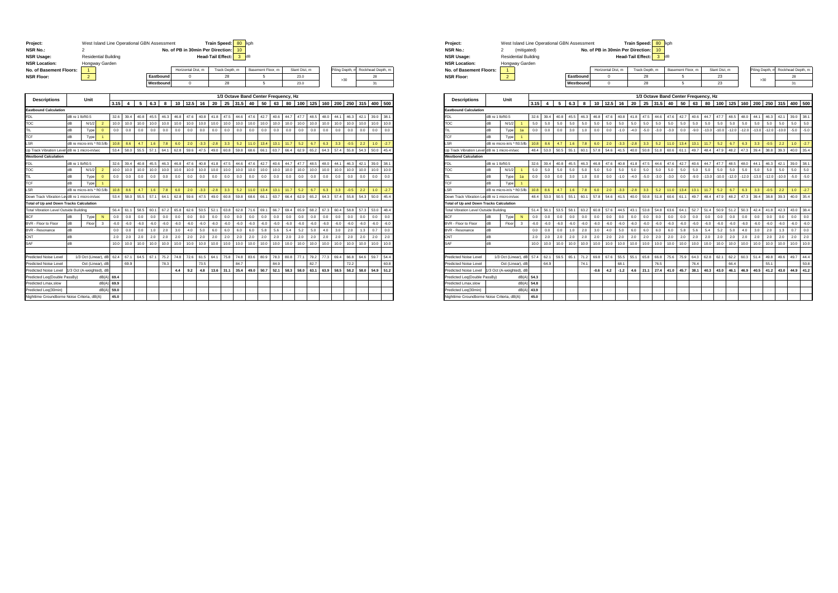| Project:<br><b>NSR No.:</b><br><b>NSR Usage:</b><br><b>NSR Location:</b> |                  | West Island Line Operational GBN Assessment<br>$\mathfrak{p}$<br><b>Residential Building</b><br>Hongway Garden |                      |        |        |        |        |           |        |                    |        | <b>Train Speed:</b><br>No. of PB in 30min Per Direction:<br><b>Head-Tail Effect:</b> |                | 80<br>10<br>3 | kph<br>dB                            |                   |        |        |               |        |        |                 |        |        |                   |        |
|--------------------------------------------------------------------------|------------------|----------------------------------------------------------------------------------------------------------------|----------------------|--------|--------|--------|--------|-----------|--------|--------------------|--------|--------------------------------------------------------------------------------------|----------------|---------------|--------------------------------------|-------------------|--------|--------|---------------|--------|--------|-----------------|--------|--------|-------------------|--------|
| No. of Basement Floors:                                                  |                  | $\mathbf{1}$                                                                                                   |                      |        |        |        |        |           |        | Horizontal Dist. m |        |                                                                                      | Track Depth, m |               |                                      | Basement Floor, m |        |        | Slant Dist. m |        |        | Piling Depth, n |        |        | Rockhead Depth, m |        |
| <b>NSR Floor:</b>                                                        |                  | $\overline{2}$                                                                                                 |                      |        |        |        |        | Eastbound |        | 0                  |        |                                                                                      | 28             |               |                                      | 5                 |        |        | 23.0          |        |        |                 |        |        | 28                |        |
|                                                                          |                  |                                                                                                                |                      |        |        |        |        | Westbound |        | 0                  |        |                                                                                      | 28             |               |                                      | 5                 |        |        | 23.0          |        |        |                 | >30    |        | 31                |        |
|                                                                          |                  |                                                                                                                |                      |        |        |        |        |           |        |                    |        |                                                                                      |                |               |                                      |                   |        |        |               |        |        |                 |        |        |                   |        |
|                                                                          |                  |                                                                                                                |                      |        |        |        |        |           |        |                    |        |                                                                                      |                |               | 1/3 Octave Band Center Frequency, Hz |                   |        |        |               |        |        |                 |        |        |                   |        |
| <b>Descriptions</b>                                                      |                  | Unit                                                                                                           |                      | 3.15   | 4      | 5      | 6.3    | 8         | 10     | 12.5               | 16     | 20                                                                                   | 25             | 31.5          | 40                                   | 50                | 63     | 80     | 100           | 125    | 160    | 200             | 250    | 315    | 400               | 500    |
| <b>Eastbound Calculation</b>                                             |                  |                                                                                                                |                      |        |        |        |        |           |        |                    |        |                                                                                      |                |               |                                      |                   |        |        |               |        |        |                 |        |        |                   |        |
| <b>FDL</b>                                                               | dB re 1 lb/ft0.5 |                                                                                                                |                      | 32.6   | 39.4   | 40.8   | 45.5   | 46.3      | 46.8   | 47.6               | 40.8   | 41.8                                                                                 | 47.5           | 44.6          | 47.6                                 | 42.7              | 40.6   | 44.7   | 47.7          | 48.5   | 48.0   | 44.1            | 46.3   | 42.1   | 39.0              | 38.1   |
| <b>TOC</b>                                                               | dB               | N/1/2                                                                                                          | $\overline{2}$       | 10.0   | 10.0   | 10.0   | 10.0   | 10.0      | 10.0   | 10.0               | 10.0   | 10.0                                                                                 | 10.0           | 10.0          | 10.0                                 | 10.0              | 10.0   | 10.0   | 10.0          | 10.0   | 10.0   | 10.0            | 10.0   | 10.0   | 10.0              | 10.0   |
| TIL                                                                      | dB               | Type                                                                                                           | $\mathbf{0}$         | 0.0    | 0.0    | 0.0    | 0.0    | 0.0       | 0.0    | 0.0                | 0.0    | 0.0                                                                                  | 0.0            | 0.0           | 0.0                                  | 0.0               | 0.0    | 0.0    | 0.0           | 0.0    | 0.0    | 0.0             | 0.0    | 0.0    | 0.0               | 0.0    |
| <b>CF</b>                                                                | dB               | Type                                                                                                           |                      |        |        |        |        |           |        |                    |        |                                                                                      |                |               |                                      |                   |        |        |               |        |        |                 |        |        |                   |        |
| SR.                                                                      |                  | dB re micro-in/s * ft0.5/lb                                                                                    |                      | 10.8   | 8.6    | 4.7    | 1.6    | 7.8       | 6.0    | 2.0                | $-3.3$ | $-2.8$                                                                               | 3.3            | 5.2           | 11.0                                 | 13.4              | 13.1   | 11.7   | 5.2           | 6.7    | 6.3    | 3.3             | $-0.5$ | 2.2    | 1.0               | $-2.7$ |
| Jo Track Vibration Leve                                                  |                  | dB re 1 micro-in/sec                                                                                           |                      | 53.4   | 58.0   | 55.5   | 57.1   | 64.1      | 62.8   | 59.6               | 47.5   | 49.0                                                                                 | 60.8           | 59.8          | 68.6                                 | 66.1              | 63.7   | 66.4   | 62.9          | 65.2   | 64.3   | 57.4            | 55.8   | 54.3   | 50.0              | 45.4   |
| <b>Westbond Calculation</b>                                              |                  |                                                                                                                |                      |        |        |        |        |           |        |                    |        |                                                                                      |                |               |                                      |                   |        |        |               |        |        |                 |        |        |                   |        |
| <b>FDL</b>                                                               | dB re 1 lb/ft0.5 |                                                                                                                |                      | 32.6   | 39.4   | 40.8   | 45.5   | 46.3      | 46.8   | 47.6               | 40.8   | 41.8                                                                                 | 47.5           | 44.6          | 47.6                                 | 42.7              | 40.6   | 44.7   | 47.7          | 48.5   | 48.0   | 44.1            | 46.3   | 42.1   | 39.0              | 38.1   |
| TOC                                                                      | dB               | N/1/2                                                                                                          | $\overline{2}$       | 10.0   | 10.0   | 10.0   | 10.0   | 10.0      | 10.0   | 10.0               | 10.0   | 10.0                                                                                 | 10.0           | 10.0          | 10.0                                 | 10.0              | 10.0   | 10.0   | 10.0          | 10.0   | 10.0   | 10.0            | 10.0   | 10.0   | 10.0              | 10.0   |
| TIL                                                                      | dB               | Type                                                                                                           | $\mathbf{0}$         | 0.0    | 0.0    | 0.0    | 0.0    | 0.0       | 0.0    | 0.0                | 0.0    | 0.0                                                                                  | 0.0            | 0.0           | 0.0                                  | 0.0               | 0.0    | 0.0    | 0.0           | 0.0    | 0.0    | 0.0             | 0.0    | 0.0    | 0.0               | 0.0    |
| TCF                                                                      | dB               | Type                                                                                                           | $\blacktriangleleft$ |        |        |        |        |           |        |                    |        |                                                                                      |                |               |                                      |                   |        |        |               |        |        |                 |        |        |                   |        |
| .SR                                                                      |                  | dB re micro-in/s * ft0.5/lb                                                                                    |                      | 10.8   | 8.6    | 4.7    | 1.6    | 7.8       | 6.0    | 2.0                | $-3.3$ | $-2.8$                                                                               | 3.3            | 5.2           | 11.0                                 | 13.4              | 13.1   | 11.7   | 5.2           | 6.7    | 6.3    | 3.3             | $-0.5$ | 2.2    | 1.0               | $-2.7$ |
| Down Track Vibration LevidB re 1 micro-in/sec                            |                  |                                                                                                                |                      | 53.4   | 58.0   | 55.5   | 57.1   | 64.1      | 62.8   | 59.6               | 47.5   | 49.0                                                                                 | 60.8           | 59.8          | 68.6                                 | 66.1              | 63.7   | 66.4   | 62.9          | 65.2   | 64.3   | 57.4            | 55.8   | 54.3   | 50.0              | 45.4   |
| otal of Up and Down Tracks Calculation                                   |                  |                                                                                                                |                      |        |        |        |        |           |        |                    |        |                                                                                      |                |               |                                      |                   |        |        |               |        |        |                 |        |        |                   |        |
| <b>Total Vibration Level Outside Building</b>                            |                  |                                                                                                                |                      | 56.4   | 61.1   | 58.5   | 60.1   | 67.2      | 65.8   | 62.6               | 50.5   | 52.1                                                                                 | 63.8           | 62.8          | 71.6                                 | 69.1              | 66.7   | 69.4   | 65.9          | 68.2   | 67.3   | 60.4            | 58.8   | 57.3   | 53.0              | 48.4   |
| <b>BCF</b>                                                               | dB               | Type                                                                                                           | N                    | 0.0    | 0.0    | 0.0    | 0.0    | 0.0       | 0.0    | 0.0                | 0.0    | 0.0                                                                                  | 0.0            | 0.0           | 0.0                                  | 0.0               | 0.0    | 0.0    | 0.0           | 0.0    | 0.0    | 0.0             | 0.0    | 0.0    | 0.0               | 0.0    |
| BVR - Floor to Floor                                                     | dB               | Floor                                                                                                          | 3                    | $-6.0$ | $-6.0$ | $-6.0$ | $-6.0$ | $-6.0$    | $-6.0$ | $-6.0$             | $-6.0$ | $-6.0$                                                                               | $-6.0$         | $-6.0$        | $-6.0$                               | $-6.0$            | $-6.0$ | $-6.0$ | $-6.0$        | $-6.0$ | $-6.0$ | $-6.0$          | $-6.0$ | $-6.0$ | $-6.0$            | $-6.0$ |
| BVR - Resonance                                                          | dB               |                                                                                                                |                      | 0.0    | 0.0    | 0.0    | 1.0    | 2.0       | 3.0    | 4.0                | 5.0    | 6.0                                                                                  | 6.0            | 6.0           | 6.0                                  | 5.8               | 5.6    | 5.4    | 5.2           | 5.0    | 4.0    | 3.0             | 2.0    | 1.3    | 0.7               | 0.0    |
| CNT                                                                      | dB               |                                                                                                                |                      | 2.0    | 2.0    | 2.0    | 2.0    | 2.0       | 2.0    | 2.0                | 2.0    | 2.0                                                                                  | 2.0            | 2.0           | 2.0                                  | 2.0               | 2.0    | 2.0    | 2.0           | 2.0    | 2.0    | 2.0             | 2.0    | 2.0    | 2.0               | 2.0    |
| SAF                                                                      | $\overline{AB}$  |                                                                                                                |                      | 10.0   | 10.0   | 10.0   | 10.0   | 10.0      | 10.0   | 10.0               | 10.0   | 10.0                                                                                 | 10.0           | 10.0          | 10.0                                 | 10.0              | 10.0   | 10.0   | 10.0          | 10.0   | 10.0   | 10.0            | 10.0   | 10.0   | 10.0              | 10.0   |
|                                                                          |                  |                                                                                                                |                      |        |        |        |        |           |        |                    |        |                                                                                      |                |               |                                      |                   |        |        |               |        |        |                 |        |        |                   |        |
| Predicted Noise Level                                                    |                  | 1/3 Oct (Linear), dB                                                                                           |                      | 62.4   | 671    | 64.5   | 671    | 75.2      | 74.8   | 72.6               | 61.5   | 64 1                                                                                 | 75.8           | 748           | 83.6                                 | 80.9              | 78.3   | 80.8   | 77.1          | 79.2   | 77.3   | 69.4            | 66.8   | 64.6   | 59.7              | 54.4   |
| Predicted Noise Level                                                    |                  | Oct (Linear), dB                                                                                               |                      |        | 69.9   |        |        | 78.3      |        |                    | 73.5   |                                                                                      |                | 84.7          |                                      |                   | 84.9   |        |               | 82.7   |        |                 | 72.2   |        |                   | 60.8   |
| Predicted Noise Level                                                    |                  | /3 Oct (A-weighted), dB                                                                                        |                      |        |        |        |        |           | 4.4    | 9.2                | 4.8    | 13.6                                                                                 | 31.1           | 35.4          | 49.0                                 | 50.7              | 52.1   | 58.3   | 58.0          | 63.1   | 63.9   | 58.5            | 58.2   | 58.0   | 54.9              | 51.2   |
| Predicted Leg(Double PassBy)                                             |                  |                                                                                                                | dB(A)                | 69.4   |        |        |        |           |        |                    |        |                                                                                      |                |               |                                      |                   |        |        |               |        |        |                 |        |        |                   |        |
| Predicted Lmax.slow                                                      |                  |                                                                                                                | dB(A)                | 69.9   |        |        |        |           |        |                    |        |                                                                                      |                |               |                                      |                   |        |        |               |        |        |                 |        |        |                   |        |
| Predicted Lea(30min)                                                     |                  |                                                                                                                | dB(A)                | 59.0   |        |        |        |           |        |                    |        |                                                                                      |                |               |                                      |                   |        |        |               |        |        |                 |        |        |                   |        |
| Nighttime Groundborne Noise Criteria, dB(A)                              |                  |                                                                                                                |                      | 45.0   |        |        |        |           |        |                    |        |                                                                                      |                |               |                                      |                   |        |        |               |        |        |                 |        |        |                   |        |

| <b>NSR No.:</b><br><b>NSR Usage:</b><br><b>NSR Location:</b> | (mitigated)<br><b>Residential Building</b><br>Hongway Garden |           | No. of PB in 30min Per Direction: 10 | <b>Head-Tail Effect:</b> | ldB               |               |     |                                   |
|--------------------------------------------------------------|--------------------------------------------------------------|-----------|--------------------------------------|--------------------------|-------------------|---------------|-----|-----------------------------------|
| No. of Basement Floors:                                      |                                                              |           | Horizontal Dist. m                   | Track Depth, m           | Basement Floor, m | Slant Dist. m |     | Piling Depth, m Rockhead Depth, m |
| <b>NSR Floor:</b>                                            |                                                              | Eastbound |                                      | 28                       |                   | 23            |     | 28                                |
|                                                              |                                                              | Westbound |                                      | 28                       |                   | 23            | >30 | 31                                |

| <b>Descriptions</b>                            |                  | Unit                        |                      |        |        |        |        |        |        |         |        |        |        |        |        | 173 Octave Band Center Frequency, Hz |        |         |         |         |         |         |         |         |                |        |
|------------------------------------------------|------------------|-----------------------------|----------------------|--------|--------|--------|--------|--------|--------|---------|--------|--------|--------|--------|--------|--------------------------------------|--------|---------|---------|---------|---------|---------|---------|---------|----------------|--------|
|                                                |                  |                             |                      | 3.15   |        | 5      | 6.3    | 8      |        | 10 12.5 | 16     | 20     | 25     | 31.5   | 40     | 50                                   | 63     | 80      | 100     | 125     |         | 160 200 |         | 250 315 | 400            | 500    |
| <b>Eastbound Calculation</b>                   |                  |                             |                      |        |        |        |        |        |        |         |        |        |        |        |        |                                      |        |         |         |         |         |         |         |         |                |        |
| <b>FDL</b>                                     | dB re 1 lb/ft0 5 |                             |                      | 32.6   | 39.4   | 40.8   | 45.5   | 46.3   | 46.8   | 47.6    | 40.8   | 41.8   | 47.5   | 44.6   | 47.6   | 42.7                                 | 40.6   | 44.7    | 47.7    | 48.5    | 48.0    | 44.1    | 46.3    | 42.1    | 39.0           | 38.1   |
| TOC                                            | dB               | N/1/2                       | $\overline{1}$       | 5.0    | 5.0    | 5.0    | 5.0    | 5.0    | 5.0    | 5.0     | 5.0    | 5.0    | 5.0    | 5.0    | 5.0    | 5.0                                  | 5.0    | 5.0     | 5.0     | 5.0     | 5.0     | 5.0     | 5.0     | 5.0     | 5.0            | 5.0    |
| TIL                                            | dB               | Type                        | 1a                   | 0.0    | 0.0    | 0.0    | 3.0    | 1.0    | 0.0    | 0.0     | $-1.0$ | $-4.0$ | $-5.0$ | $-3.0$ | $-3.0$ | 0.0                                  | $-9.0$ | $-13.0$ | $-10.0$ | $-12.0$ | $-12.0$ | $-13.0$ | $-12.0$ | $-10.0$ | $-5.0$         | $-5.0$ |
| TCF                                            | dB               | Type                        |                      |        |        |        |        |        |        |         |        |        |        |        |        |                                      |        |         |         |         |         |         |         |         |                |        |
| LSR                                            |                  | dB re micro-in/s * ft0.5/lb |                      | 10.8   | 86     | 4.7    | 1.6    | 7.8    | 60     | 2.0     | $-3.3$ | $-28$  | 3.3    | 5.2    | 11.0   | 13.4                                 | 13.1   | 11.7    | 5.2     | 6.7     | 6.3     | 3.3     | $-0.5$  | 2.2     | 1 <sub>0</sub> | $-2.7$ |
| Up Track Vibration Level dB re 1 micro-in/sec  |                  |                             |                      | 48.4   | 53.0   | 50.5   | 55.1   | 60.1   | 57.8   | 54.6    | 41.5   | 40.0   | 50.8   | 51.8   | 60.6   | 61.1                                 | 49.7   | 48.4    | 47.9    | 48.2    | 47.3    | 39.4    | 38.8    | 39.3    | 40.0           | 35.4   |
| <b>Westbond Calculation</b>                    |                  |                             |                      |        |        |        |        |        |        |         |        |        |        |        |        |                                      |        |         |         |         |         |         |         |         |                |        |
| <b>FDL</b>                                     | dB re 1 lb/ft0.5 |                             |                      | 32.6   | 39.4   | 40.8   | 45.5   | 46.3   | 46.8   | 47.6    | 40.8   | 41.8   | 47.5   | 44.6   | 47.6   | 42.7                                 | 40.6   | 44.7    | 47.7    | 48.5    | 48.0    | 44.1    | 46.3    | 42.1    | 39.0           | 38.1   |
| TOC                                            | dB               | N/1/2                       | $\blacktriangleleft$ | 5.0    | 5.0    | 5.0    | 5.0    | 5.0    | 5.0    | 5.0     | 5.0    | 5.0    | 5.0    | 5.0    | 5.0    | 5.0                                  | 5.0    | 5.0     | 5.0     | 5.0     | 5.0     | 5.0     | 5.0     | 5.0     | 5.0            | 5.0    |
| TIL                                            | dB               | Type                        | 1a                   | 0.0    | 0.0    | 0.0    | 3.0    | 1.0    | 0.0    | 0.0     | $-1.0$ | $-4.0$ | $-5.0$ | $-3.0$ | $-3.0$ | 0.0                                  | $-9.0$ | $-13.0$ | $-10.0$ | $-12.0$ | $-12.0$ | $-13.0$ | $-12.0$ | $-10.0$ | $-5.0$         | $-5.0$ |
| <b>TCF</b>                                     | dB               | Type                        |                      |        |        |        |        |        |        |         |        |        |        |        |        |                                      |        |         |         |         |         |         |         |         |                |        |
| LSR                                            |                  | dB re micro-in/s * ft0.5/lb |                      | 10.8   | 8.6    | 4.7    | 1.6    | 7.8    | 6.0    | 2.0     | $-3.3$ | $-28$  | 3.3    | 5.2    | 11.0   | 13.4                                 | 13.1   | 11.7    | 5.2     | 6.7     | 6.3     | 3.3     | $-0.5$  | 2.2     | 1.0            | $-2.7$ |
| Down Track Vibration LevidB re 1 micro-in/sec  |                  |                             |                      | 48.4   | 53.0   | 50.5   | 55.1   | 60.1   | 57.8   | 54.6    | 41.5   | 40.0   | 50.8   | 51.8   | 60.6   | 61.1                                 | 49.7   | 48.4    | 47.9    | 48.2    | 47.3    | 39.4    | 38.8    | 39.3    | 40.0           | 35.4   |
| <b>Total of Up and Down Tracks Calculation</b> |                  |                             |                      |        |        |        |        |        |        |         |        |        |        |        |        |                                      |        |         |         |         |         |         |         |         |                |        |
| Total Vibration Level Outside Building         |                  |                             |                      | 51.4   | 56.1   | 53.5   | 58.1   | 63.2   | 60.8   | 57.6    | 44.5   | 43.1   | 53.8   | 54.8   | 63.6   | 64.1                                 | 52.7   | 51.4    | 50.9    | 51.2    | 50.3    | 42.4    | 41.8    | 42.3    | 43.0           | 38.4   |
| <b>BCF</b>                                     | dB               | Type                        | N                    | 0.0    | 0.0    | 0.0    | 0.0    | 0.0    | 0.0    | 0.0     | 0.0    | 0.0    | 0.0    | 0.0    | 0.0    | 0.0                                  | 0.0    | 0.0     | 0.0     | 0.0     | 0.0     | 0.0     | 0.0     | 0.0     | 0.0            | 0.0    |
| <b>BVR - Floor to Floor</b>                    | dB               | Floor                       | $\mathbf{3}$         | $-6.0$ | $-6.0$ | $-6.0$ | $-6.0$ | $-6.0$ | $-6.0$ | $-6.0$  | $-6.0$ | $-6.0$ | $-6.0$ | $-6.0$ | $-6.0$ | $-6.0$                               | $-6.0$ | $-6.0$  | $-6.0$  | $-6.0$  | $-6.0$  | $-6.0$  | $-6.0$  | $-6.0$  | $-6.0$         | $-6.0$ |
| BVR - Resonance                                | dB               |                             |                      | 0.0    | 0.0    | 0.0    | 1.0    | 2.0    | 3.0    | 4.0     | 5.0    | 6.0    | 6.0    | 6.0    | 6.0    | 5.8                                  | 5.6    | 5.4     | 5.2     | 5.0     | 4.0     | 3.0     | 2.0     | 1.3     | 0.7            | 0.0    |
| CNT                                            | dB               |                             |                      | 20     | 20     | 2.0    | 2.0    | 20     | 20     | 20      | 20     | 2.0    | 20     | 2.0    | 2.0    | 2.0                                  | 2.0    | 2.0     | 2.0     | 2.0     | 20      | 2.0     | 2.0     | 2.0     | 20             | 2.0    |
| SAF                                            | dB               |                             |                      | 10.0   | 10.0   | 10.0   | 10.0   | 10.0   | 10.0   | 10.0    | 10.0   | 10.0   | 10.0   | 10.0   | 10.0   | 10.0                                 | 10.0   | 10.0    | 10.0    | 10.0    | 10.0    | 10.0    | 10.0    | 10.0    | 10.0           | 10.0   |
|                                                |                  |                             |                      |        |        |        |        |        |        |         |        |        |        |        |        |                                      |        |         |         |         |         |         |         |         |                |        |
| Predicted Noise Level                          |                  | 1/3 Oct (Linear), dB        |                      | 574    | 62.1   | 59.5   | 65.1   | 71.2   | 69.8   | 67.6    | 55.5   | 55.1   | 65.8   | 66.8   | 75.6   | 75.9                                 | 64.3   | 62.8    | 62.1    | 622     | 60.3    | 51.4    | 49.8    | 49.6    | 497            | 44.4   |
| Predicted Noise Level                          |                  | Oct (Linear), dB            |                      |        | 64.9   |        |        | 74.1   |        |         | 68.1   |        |        | 76.5   |        |                                      | 764    |         |         | 66.4    |         |         | 55.1    |         |                | 50.8   |
| Predicted Noise Level                          |                  | /3 Oct (A-weighted), dB     |                      |        |        |        |        |        | $-0.6$ | 4.2     | $-1.2$ | 4.6    | 21.1   | 27.4   | 41.0   | 45.7                                 | 38.1   | 40.3    | 43.0    | 46.1    | 46.9    | 40.5    | 41.2    | 43.0    | 44.9           | 41.2   |
| Predicted Leq(Double PassBy)                   |                  |                             | dB(A)                | 54.3   |        |        |        |        |        |         |        |        |        |        |        |                                      |        |         |         |         |         |         |         |         |                |        |
| Predicted Lmax.slow                            |                  |                             | dB(A)                | 54.8   |        |        |        |        |        |         |        |        |        |        |        |                                      |        |         |         |         |         |         |         |         |                |        |
| Predicted Leg(30min)                           |                  |                             | dB(A)                | 43.9   |        |        |        |        |        |         |        |        |        |        |        |                                      |        |         |         |         |         |         |         |         |                |        |
| Nighttime Groundborne Noise Criteria, dB(A)    |                  |                             |                      | 45.0   |        |        |        |        |        |         |        |        |        |        |        |                                      |        |         |         |         |         |         |         |         |                |        |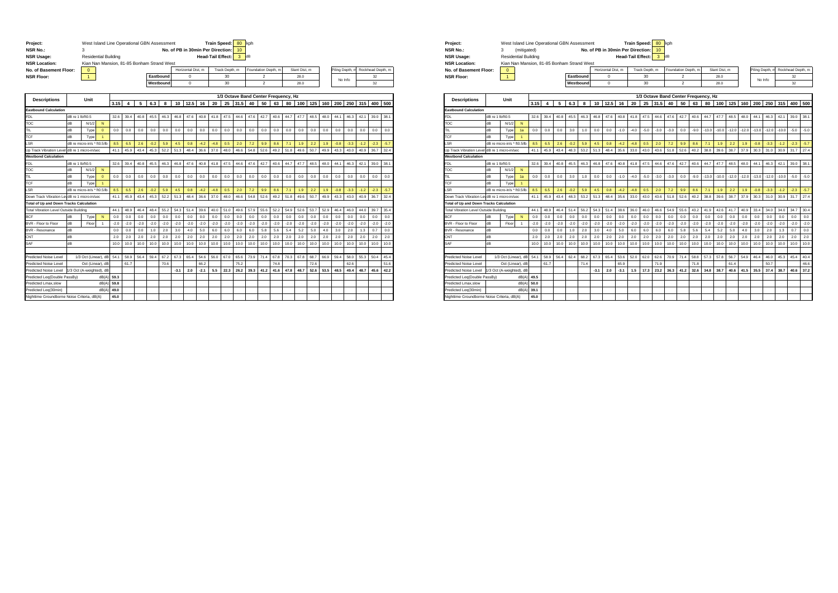| Project:                                      |                  | West Island Line Operational GBN Assessment |                             |        |        |        |        |           |        |                     |                                   | <b>Train Speed:</b>      |                | 80               | kph    |                     |        |                                      |               |        |        |        |                |        |                   |        |
|-----------------------------------------------|------------------|---------------------------------------------|-----------------------------|--------|--------|--------|--------|-----------|--------|---------------------|-----------------------------------|--------------------------|----------------|------------------|--------|---------------------|--------|--------------------------------------|---------------|--------|--------|--------|----------------|--------|-------------------|--------|
| <b>NSR No.:</b>                               |                  | 3                                           |                             |        |        |        |        |           |        |                     | No. of PB in 30min Per Direction: |                          |                | 10 <sub>10</sub> |        |                     |        |                                      |               |        |        |        |                |        |                   |        |
| <b>NSR Usage:</b>                             |                  |                                             | <b>Residential Building</b> |        |        |        |        |           |        |                     |                                   | <b>Head-Tail Effect:</b> |                | 3                | dB     |                     |        |                                      |               |        |        |        |                |        |                   |        |
| <b>NSR Location:</b>                          |                  | Kian Nan Mansion, 81-85 Bonham Strand West  |                             |        |        |        |        |           |        |                     |                                   |                          |                |                  |        |                     |        |                                      |               |        |        |        |                |        |                   |        |
| No. of Basement Floor:                        |                  | $\mathbf 0$                                 |                             |        |        |        |        |           |        | Horizontal Dist. m. |                                   |                          | Track Depth, m |                  |        | Foundation Depth, m |        |                                      | Slant Dist. m |        |        |        | iling Depth, m |        | Rockhead Depth, m |        |
| <b>NSR Floor:</b>                             |                  | $\mathbf{1}$                                |                             |        |        |        |        | Eastbound |        | $\mathbf 0$         |                                   |                          | 30             |                  |        | $\mathfrak{p}$      |        |                                      | 28.0          |        |        |        | No Info        |        | 32                |        |
|                                               |                  |                                             |                             |        |        |        |        | Westbound |        | $\Omega$            |                                   |                          | 30             |                  |        | $\mathfrak{p}$      |        |                                      | 28.0          |        |        |        |                |        | 32                |        |
|                                               |                  |                                             |                             |        |        |        |        |           |        |                     |                                   |                          |                |                  |        |                     |        |                                      |               |        |        |        |                |        |                   |        |
| <b>Descriptions</b>                           |                  | Unit                                        |                             | 3.15   | 4      | 5      | 6.3    | 8         | 10     |                     | 16                                | 20                       | 25             | 31.5             | 40     | 50                  |        | 1/3 Octave Band Center Frequency, Hz | 100           | 125    | 160    | 200    | 250            | 315    | 400               | 500    |
| <b>Eastbound Calculation</b>                  |                  |                                             |                             |        |        |        |        |           |        | 12.5                |                                   |                          |                |                  |        |                     | 63     | 80                                   |               |        |        |        |                |        |                   |        |
| <b>FDL</b>                                    | dB re 1 lb/ft0.5 |                                             |                             | 32.6   | 39.4   | 40.8   | 45.5   | 46.3      | 46.8   | 47.6                | 40.8                              | 41.8                     | 47.5           | 44.6             | 47.6   | 42.7                | 40.6   | 44.7                                 | 47.7          | 48.5   | 48.0   | 44.1   | 46.3           | 42.1   | 39.0              | 38.1   |
| TOC                                           | dB               | N/1/2                                       | N                           |        |        |        |        |           |        |                     |                                   |                          |                |                  |        |                     |        |                                      |               |        |        |        |                |        |                   |        |
| TIL                                           | dB               | Type                                        | $\mathbf{0}$                | 0.0    | 0.0    | 0.0    | 0.0    | 0.0       | 0.0    | 0.0                 | 0.0                               | 0.0                      | 0.0            | 0.0              | 0.0    | 0.0                 | 0.0    | 0.0                                  | 0.0           | 0.0    | 0.0    | 0.0    | 0.0            | 0.0    | 0.0               | 0.0    |
| TCF                                           | dB               | Type                                        |                             |        |        |        |        |           |        |                     |                                   |                          |                |                  |        |                     |        |                                      |               |        |        |        |                |        |                   |        |
| LSR                                           |                  | dB re micro-in/s * ft0.5/lb                 |                             | 8.5    | 6.5    | 2.6    | $-0.2$ | 5.9       | 4.5    | 0.8                 | $-4.2$                            | $-4.8$                   | 0.5            | 2.0              | 7.2    | 9.9                 | 8.6    | 7.1                                  | 1.9           | 2.2    | 1.9    | $-0.8$ | $-3.3$         | $-1.2$ | $-2.3$            | $-5.7$ |
| Jo Track Vibration Leve                       |                  | dB re 1 micro-in/sec                        |                             | 41.1   | 45.9   | 43.4   | 45.3   | 52.2      | 51.3   | 48.4                | 36.6                              | 37.0                     | 48.0           | 46.6             | 54.8   | 52.6                | 49.2   | 51.8                                 | 49.6          | 50.7   | 49.9   | 43.3   | 43.0           | 40.9   | 36.7              | 32.4   |
| <b>Westbond Calculation</b>                   |                  |                                             |                             |        |        |        |        |           |        |                     |                                   |                          |                |                  |        |                     |        |                                      |               |        |        |        |                |        |                   |        |
| FDL                                           | dB re 1 lb/ft0.5 |                                             |                             | 32.6   | 39.4   | 40.8   | 45.5   | 46.3      | 46.8   | 47.6                | 40.8                              | 41.8                     | 47.5           | 44.6             | 47.6   | 42.7                | 40.6   | 44.7                                 | 47.7          | 48.5   | 48.0   | 44.1   | 46.3           | 42.1   | 39.0              | 38.1   |
| TOC                                           | dB               | N/1/2                                       | N                           |        |        |        |        |           |        |                     |                                   |                          |                |                  |        |                     |        |                                      |               |        |        |        |                |        |                   |        |
| TIL                                           | dB               | Туре                                        | $\mathbf{0}$                | 0.0    | 0.0    | 0.0    | 0.0    | 0.0       | 0.0    | 0.0                 | 0.0                               | 0.0                      | 0.0            | 0.0              | 0.0    | 0.0                 | 0.0    | 0.0                                  | 0.0           | 0.0    | 0.0    | 0.0    | 0.0            | 0.0    | 0.0               | 0.0    |
| TCF                                           | dB               | Type                                        | $\mathbf{1}$                |        |        |        |        |           |        |                     |                                   |                          |                |                  |        |                     |        |                                      |               |        |        |        |                |        |                   |        |
| .SR                                           |                  | dB re micro-in/s * ft0.5/lb                 |                             | 8.5    | 6.5    | 2.6    | $-0.2$ | 5.9       | 4.5    | 0.8                 | $-4.2$                            | $-4.8$                   | 0.5            | 2.0              | 7.2    | 9.9                 | 8.6    | 7.1                                  | 1.9           | 2.2    | 1.9    | $-0.8$ | $-3.3$         | $-1.2$ | $-2.3$            | $-5.7$ |
| Down Track Vibration LevidB re 1 micro-in/sec |                  |                                             |                             | 41.1   | 45.9   | 43.4   | 45.3   | 52.2      | 51.3   | 48.4                | 36.6                              | 37.0                     | 48.0           | 46.6             | 54.8   | 52.6                | 49.2   | 51.8                                 | 49.6          | 50.7   | 49.9   | 43.3   | 43.0           | 40.9   | 36.7              | 32.4   |
| Total of Up and Down Tracks Calculation       |                  |                                             |                             |        |        |        |        |           |        |                     |                                   |                          |                |                  |        |                     |        |                                      |               |        |        |        |                |        |                   |        |
| <b>Total Vibration Level Outside Building</b> |                  |                                             |                             | 44.1   | 48.9   | 46.4   | 48.4   | 55.2      | 54.3   | 51.4                | 39.6                              | 40.0                     | 51.0           | 49.6             | 57.9   | 55.6                | 52.2   | 54.9                                 | 52.6          | 53.7   | 52.9   | 46.4   | 46.0           | 44.0   | 39.7              | 35.4   |
| <b>BCF</b>                                    | dB               | Type                                        | N                           | 0.0    | 0.0    | 0.0    | 0.0    | 0.0       | 0.0    | 0.0                 | 0.0                               | 0.0                      | 0.0            | 0.0              | 0.0    | 0.0                 | 0.0    | 0.0                                  | 0.0           | 0.0    | 0.0    | 0.0    | 0.0            | 0.0    | 0.0               | 0.0    |
| BVR - Floor to Floor                          | dB               | Floor                                       | 1                           | $-2.0$ | $-2.0$ | $-2.0$ | $-2.0$ | $-2.0$    | $-2.0$ | $-2.0$              | $-2.0$                            | $-2.0$                   | $-2.0$         | $-2.0$           | $-2.0$ | $-2.0$              | $-2.0$ | $-2.0$                               | $-2.0$        | $-2.0$ | $-2.0$ | $-2.0$ | $-2.0$         | $-2.0$ | $-2.0$            | $-2.0$ |
| <b>BVR - Resonance</b>                        | dB               |                                             |                             | 0.0    | 0.0    | 0.0    | 1.0    | 2.0       | 3.0    | 4.0                 | 5.0                               | 6.0                      | 6.0            | 6.0              | 6.0    | 5.8                 | 5.6    | 5.4                                  | 5.2           | 5.0    | 4.0    | 3.0    | 2.0            | 1.3    | 0.7               | 0.0    |
| CNT                                           | dB               |                                             |                             | 2.0    | 2.0    | 2.0    | 2.0    | 2.0       | 2.0    | 2.0                 | 2.0                               | 2.0                      | 2.0            | 2.0              | 2.0    | 2.0                 | 2.0    | 2.0                                  | 2.0           | 2.0    | 2.0    | 2.0    | 2.0            | 2.0    | 2.0               | 2.0    |
| SAF                                           | dB               |                                             |                             | 10.0   | 10.0   | 10.0   | 10.0   | 10.0      | 10.0   | 10.0                | 10.0                              | 10.0                     | 10.0           | 10.0             | 10.0   | 10.0                | 10.0   | 10.0                                 | 10.0          | 10.0   | 10.0   | 10.0   | 10.0           | 10.0   | 10.0              | 10.0   |
|                                               |                  |                                             |                             |        |        |        |        |           |        |                     |                                   |                          |                |                  |        |                     |        |                                      |               |        |        |        |                |        |                   |        |
| <b>Predicted Noise Level</b>                  |                  | 1/3 Oct (Linear), dB                        |                             | 54.1   | 58.9   | 56.4   | 59.4   | 67.2      | 67.3   | 65.4                | 54.6                              | 56.0                     | 67.0           | 65.6             | 73.9   | 71.4                | 67.8   | 70.3                                 | 67.8          | 68.7   | 66.9   | 59.4   | 58.0           | 55.3   | 50.4              | 45.4   |
| <b>Predicted Noise Level</b>                  |                  | Oct (Linear), dB                            |                             |        | 61.7   |        |        | 70.6      |        |                     | 66.2                              |                          |                | 75.2             |        |                     | 74.8   |                                      |               | 726    |        |        | 62.6           |        |                   | 51.6   |
| Predicted Noise Level                         |                  | 1/3 Oct (A-weighted), dB                    |                             |        |        |        |        |           | $-3.1$ | 2.0                 | $-2.1$                            | 5.5                      | 22.3           | 26.2             | 39.3   | 41.2                | 41.6   | 47.8                                 | 48.7          | 52.6   | 53.5   | 48.5   | 49.4           | 48.7   | 45.6              | 42.2   |
| Predicted Leq(Double PassBy)                  |                  |                                             | dB(A)                       | 59.3   |        |        |        |           |        |                     |                                   |                          |                |                  |        |                     |        |                                      |               |        |        |        |                |        |                   |        |
| Predicted Lmax.slow                           |                  |                                             | dB(A                        | 59.8   |        |        |        |           |        |                     |                                   |                          |                |                  |        |                     |        |                                      |               |        |        |        |                |        |                   |        |
| Predicted Leg(30min)                          |                  |                                             | dB(A)                       | 49.0   |        |        |        |           |        |                     |                                   |                          |                |                  |        |                     |        |                                      |               |        |        |        |                |        |                   |        |
| Nighttime Groundborne Noise Criteria, dB(A)   |                  |                                             |                             | 45.0   |        |        |        |           |        |                     |                                   |                          |                |                  |        |                     |        |                                      |               |        |        |        |                |        |                   |        |

| <b>NSR No.:</b>        | 3                                                                                                                                                                  | (mitigated)                 |      |  |  | West Island Line Operational GBN Assessment |  |  | No. of PB in 30min Per Direction: |    |                          | <b>Train Speed:</b> | 80 kph<br>10                                    |           |    |    |    |      |     |         |  |    |                         |
|------------------------|--------------------------------------------------------------------------------------------------------------------------------------------------------------------|-----------------------------|------|--|--|---------------------------------------------|--|--|-----------------------------------|----|--------------------------|---------------------|-------------------------------------------------|-----------|----|----|----|------|-----|---------|--|----|-------------------------|
| <b>NSR Usage:</b>      |                                                                                                                                                                    | <b>Residential Building</b> |      |  |  |                                             |  |  |                                   |    | <b>Head-Tail Effect:</b> |                     | 3 <sup>2</sup>                                  | <b>dB</b> |    |    |    |      |     |         |  |    |                         |
| <b>NSR Location:</b>   | Kian Nan Mansion, 81-85 Bonham Strand West<br>Rockhead Depth, m<br>Foundation Depth, m<br>Piling Depth, m<br>Track Depth, m<br>Slant Dist. m<br>Horizontal Dist. m |                             |      |  |  |                                             |  |  |                                   |    |                          |                     |                                                 |           |    |    |    |      |     |         |  |    |                         |
| No. of Basement Floor: |                                                                                                                                                                    |                             |      |  |  |                                             |  |  |                                   |    |                          |                     |                                                 |           |    |    |    |      |     |         |  |    |                         |
| <b>NSR Floor:</b>      |                                                                                                                                                                    |                             |      |  |  | Eastbound                                   |  |  | $\Omega$                          |    |                          | 30                  |                                                 |           |    |    |    | 28.0 |     | No Info |  | 32 |                         |
|                        |                                                                                                                                                                    |                             |      |  |  | Westbound                                   |  |  | $\Omega$                          |    |                          | 30                  |                                                 |           | o  |    |    | 28.0 |     |         |  | 32 |                         |
|                        |                                                                                                                                                                    |                             |      |  |  |                                             |  |  |                                   |    |                          |                     |                                                 |           |    |    |    |      |     |         |  |    |                         |
| <b>Descriptions</b>    | Unit                                                                                                                                                               |                             | 3.15 |  |  |                                             |  |  |                                   |    |                          |                     |                                                 |           |    |    |    |      |     |         |  |    |                         |
|                        |                                                                                                                                                                    |                             |      |  |  | 6.3                                         |  |  | 12.5                              | 16 | 20                       |                     | 1/3 Octave Band Center Frequency, Hz<br>25 31.5 | 40        | 50 | 63 | 80 | 100  | 125 |         |  |    | 160 200 250 315 400 500 |

|                                                |                  |                             |                      |                | $3.15$   $4$   |                | $5 - 6.3$ | ŏ              | 10     | $12.5 - 16$ |        | ΖU     | - 25   | $31.5$ 40 |        | วบ             | ხა     |         |         |         |         |         |                |         | 80 100 125 00 200 250 315 400 500 |        |
|------------------------------------------------|------------------|-----------------------------|----------------------|----------------|----------------|----------------|-----------|----------------|--------|-------------|--------|--------|--------|-----------|--------|----------------|--------|---------|---------|---------|---------|---------|----------------|---------|-----------------------------------|--------|
| <b>Eastbound Calculation</b>                   |                  |                             |                      |                |                |                |           |                |        |             |        |        |        |           |        |                |        |         |         |         |         |         |                |         |                                   |        |
| <b>FDL</b>                                     | dB re 1 lb/ft0.5 |                             |                      | 32.6           | 39.4           | 40.8           | 45.5      | 46.3           | 46.8   | 47.6        | 40.8   | 41.8   | 47.5   | 44.6      | 47.6   | 42.7           | 40.6   | 44.7    | 47.7    | 48.5    | 48.0    | 44.1    | 46.3           | 42.1    | 39.0                              | 38.1   |
| TOC                                            | dB               | N/1/2                       | N                    |                |                |                |           |                |        |             |        |        |        |           |        |                |        |         |         |         |         |         |                |         |                                   |        |
| TIL                                            | dB               | Type                        | 1a                   | 0.0            | 0.0            | 0.0            | 3.0       | 1.0            | 0.0    | 0.0         | $-1.0$ | $-4.0$ | $-5.0$ | $-3.0$    | $-3.0$ | 0 <sub>0</sub> | $-9.0$ | $-13.0$ | $-10.0$ | $-12.0$ | $-12.0$ | $-13.0$ | $-12.0$        | $-10.0$ | $-5.0$                            | $-5.0$ |
| TCF                                            | dB               | Type                        | $\overline{1}$       |                |                |                |           |                |        |             |        |        |        |           |        |                |        |         |         |         |         |         |                |         |                                   |        |
| LSR                                            |                  | dB re micro-in/s * ft0.5/lb |                      | 8.5            | 6.5            | 2.6            | $-0.2$    | 5.9            | 4.5    | 0.8         | $-4.2$ | $-48$  | 0.5    | 2.0       | 7.2    | 9.9            | 86     | 7.1     | 1.9     | 2.2     | 1.9     | $-0.8$  | $-3.3$         | $-1.2$  | $-23$                             | $-5.7$ |
| Up Track Vibration Level dB re 1 micro-in/sec  |                  |                             |                      | 41.1           | 45.9           | 43.4           | 48.3      | 53.2           | 51.3   | 48.4        | 35.6   | 33.0   | 43.0   | 43.6      | 51.8   | 52.6           | 40.2   | 38.8    | 39.6    | 38.7    | 37.9    | 30.3    | 31.0           | 30.9    | 31.7                              | 27.4   |
| <b>Westbond Calculation</b>                    |                  |                             |                      |                |                |                |           |                |        |             |        |        |        |           |        |                |        |         |         |         |         |         |                |         |                                   |        |
| <b>FDL</b>                                     | dB re 1 lb/ft0.5 |                             |                      | 32.6           | 39.4           | 40.8           | 45.5      | 46.3           | 46.8   | 47.6        | 40.8   | 41.8   | 47.5   | 44.6      | 47.6   | 42.7           | 40.6   | 44.7    | 47.7    | 48.5    | 48.0    | 44.1    | 46.3           | 42.1    | 39.0                              | 38.1   |
| TOC                                            | dB               | N/1/2                       | N                    |                |                |                |           |                |        |             |        |        |        |           |        |                |        |         |         |         |         |         |                |         |                                   |        |
| TIL                                            | dB               | Type                        | 1a                   | 0 <sub>0</sub> | 0.0            | 0.0            | 3.0       | 1.0            | 0.0    | 0.0         | $-1.0$ | $-4.0$ | $-5.0$ | $-3.0$    | $-3.0$ | 0.0            | $-9.0$ | $-13.0$ | $-10.0$ | $-12.0$ | $-12.0$ | $-13.0$ | $-12.0$        | $-10.0$ | $-5.0$                            | $-5.0$ |
| TCF                                            | dB               | Type                        | $\mathbf{1}$         |                |                |                |           |                |        |             |        |        |        |           |        |                |        |         |         |         |         |         |                |         |                                   |        |
| LSR                                            |                  | dB re micro-in/s * ft0.5/lb |                      | 8.5            | 6.5            | 2.6            | $-0.2$    | 5.9            | 4.5    | 0.8         | $-4.2$ | $-4.8$ | 0.5    | 2.0       | 7.2    | 9.9            | 8.6    | 7.1     | 1.9     | 2.2     | 1.9     | $-0.8$  | $-3.3$         | $-1.2$  | $-2.3$                            | $-5.7$ |
| Down Track Vibration LevdB re 1 micro-in/sec   |                  |                             |                      | 41.1           | 45.9           | 43.4           | 48.3      | 53.2           | 51.3   | 48.4        | 35.6   | 33.0   | 43.0   | 43.6      | 51.8   | 52.6           | 40.2   | 38.8    | 39.6    | 38.7    | 37.9    | 30.3    | 31.0           | 30.9    | 31.7                              | 27.4   |
| <b>Total of Up and Down Tracks Calculation</b> |                  |                             |                      |                |                |                |           |                |        |             |        |        |        |           |        |                |        |         |         |         |         |         |                |         |                                   |        |
| Total Vibration Level Outside Building         |                  |                             |                      | 44.1           | 48.9           | 46.4           | 51.4      | 56.2           | 54.3   | 51.4        | 38.6   | 36.0   | 46.0   | 46.6      | 54.9   | 55.6           | 43.2   | 41.9    | 42.6    | 41.7    | 40.9    | 33.4    | 34.0           | 34.0    | 34.7                              | 30.4   |
| <b>BCF</b>                                     | dB               | Type                        | N                    | 0.0            | 0.0            | 0 <sub>0</sub> | 0.0       | 0 <sub>0</sub> | 0.0    | 0.0         | 0.0    | 0.0    | 0.0    | 0.0       | 0.0    | 0.0            | 0.0    | 0.0     | 0.0     | 0.0     | 0.0     | 0.0     | 0 <sub>0</sub> | 0.0     | 0 <sub>0</sub>                    | 0.0    |
| BVR - Floor to Floor                           | dB               | Floor                       | $\ddot{\phantom{1}}$ | $-2.0$         | $-2.0$         | $-2.0$         | $-2.0$    | $-2.0$         | $-2.0$ | $-2.0$      | $-2.0$ | $-2.0$ | $-2.0$ | $-2.0$    | $-2.0$ | $-2.0$         | $-2.0$ | $-2.0$  | $-2.0$  | $-2.0$  | $-2.0$  | $-2.0$  | $-2.0$         | $-2.0$  | $-2.0$                            | $-2.0$ |
| BVR - Resonance                                | dB               |                             |                      | 0 <sub>0</sub> | 0 <sub>0</sub> | 0 <sub>0</sub> | 1.0       | 2.0            | 3.0    | 4.0         | 5.0    | 6.0    | 6.0    | 6.0       | 6.0    | 5.8            | 5.6    | 5.4     | 5.2     | 5.0     | 4.0     | 3.0     | 2.0            | 1.3     | 07                                | 0.0    |
| CNT                                            | dB               |                             |                      | 2.0            | 2.0            | 2.0            | 2.0       | 2.0            | 2.0    | 2.0         | 2.0    | 2.0    | 2.0    | 2.0       | 2.0    | 2.0            | 2.0    | 2.0     | 2.0     | 2.0     | 2.0     | 2.0     | 2.0            | 2.0     | 2.0                               | 2.0    |
| SAF                                            | dB               |                             |                      | 10.0           | 10.0           | 10.0           | 10.0      | 10.0           | 10.0   | 100         | 10.0   | 10.0   | 10.0   | 10.0      | 10.0   | 10.0           | 10.0   | 10.0    | 10.0    | 10.0    | 10.0    | 10.0    | 10.0           | 10.0    | 10.0                              | 10.0   |
|                                                |                  |                             |                      |                |                |                |           |                |        |             |        |        |        |           |        |                |        |         |         |         |         |         |                |         |                                   |        |
| Predicted Noise Level                          |                  | 1/3 Oct (Linear), dB        |                      | 54.1           | 58.9           | 56.4           | 62.4      | 68.2           | 67.3   | 65.4        | 53.6   | 52.0   | 62.0   | 62.6      | 70.9   | 71.4           | 58.8   | 57.3    | 57.8    | 56.7    | 54.9    | 46.4    | 46.0           | 45.3    | 45.4                              | 40.4   |
| Predicted Noise Level                          |                  | Oct (Linear), dB            |                      |                | 61.7           |                |           | 71.4           |        |             | 65.9   |        |        | 719       |        |                | 71.8   |         |         | 61.4    |         |         | 50.7           |         |                                   | 46.6   |
| Predicted Noise Level                          |                  | 1/3 Oct (A-weighted), dB    |                      |                |                |                |           |                | $-3.1$ | 2.0         | $-3.1$ | 1.5    | 17.3   | 23.2      | 36.3   | 41.2           | 32.6   | 34.8    | 38.7    | 40.6    | 41.5    | 35.5    | 37.4           | 38.7    | 40.6                              | 37.2   |
| Predicted Leq(Double PassBy)                   |                  |                             | dB(A)                | 49.5           |                |                |           |                |        |             |        |        |        |           |        |                |        |         |         |         |         |         |                |         |                                   |        |
| Predicted Lmax.slow                            |                  |                             | dB(A)                | 50.0           |                |                |           |                |        |             |        |        |        |           |        |                |        |         |         |         |         |         |                |         |                                   |        |
| Predicted Leg(30min)                           |                  |                             | dB(A)                | 39.1           |                |                |           |                |        |             |        |        |        |           |        |                |        |         |         |         |         |         |                |         |                                   |        |
| Nighttime Groundborne Noise Criteria, dB(A)    |                  |                             |                      | 45.0           |                |                |           |                |        |             |        |        |        |           |        |                |        |         |         |         |         |         |                |         |                                   |        |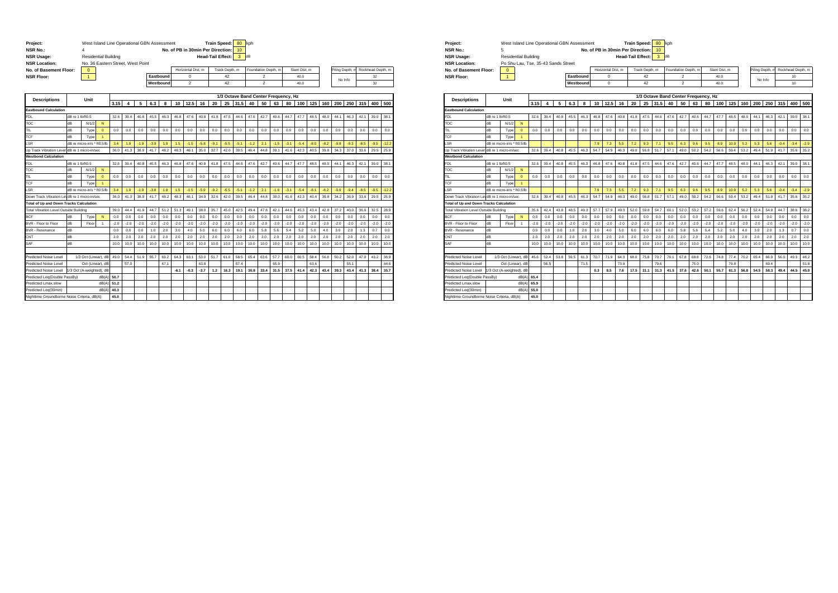| Project:<br><b>NSR No.:</b><br><b>NSR Usage:</b><br><b>NSR Location:</b> |                  | West Island Line Operational GBN Assessment<br><b>Residential Building</b><br>No. 36 Eastern Street, West Point |                |        |        |        |        |           | No. of PB in 30min Per Direction: |                   |        | <b>Train Speed:</b><br><b>Head-Tail Effect:</b> |                | 80<br>10 <sub>1</sub><br>3 | kph<br>dB |                                      |        |        |              |        |        |              |         |        |                   |         |
|--------------------------------------------------------------------------|------------------|-----------------------------------------------------------------------------------------------------------------|----------------|--------|--------|--------|--------|-----------|-----------------------------------|-------------------|--------|-------------------------------------------------|----------------|----------------------------|-----------|--------------------------------------|--------|--------|--------------|--------|--------|--------------|---------|--------|-------------------|---------|
| No. of Basement Floor:                                                   |                  | $\mathbf{0}$                                                                                                    |                |        |        |        |        |           |                                   | Horizontal Dist_m |        |                                                 | Track Depth, m |                            |           | Foundation Depth, m                  |        |        | Slant Dist_m |        |        | iling Depth, |         |        | Rockhead Depth, m |         |
| <b>NSR Floor:</b>                                                        |                  | $\mathbf{1}$                                                                                                    |                |        |        |        |        | Eastbound |                                   | 0                 |        |                                                 | 42             |                            |           | $\overline{2}$                       |        |        | 40.0         |        |        |              |         |        | 32                |         |
|                                                                          |                  |                                                                                                                 |                |        |        |        |        | Westbound |                                   | $\overline{2}$    |        |                                                 | 42             |                            |           | $\overline{2}$                       |        |        | 40.0         |        |        |              | No Info |        | 32                |         |
|                                                                          |                  |                                                                                                                 |                |        |        |        |        |           |                                   |                   |        |                                                 |                |                            |           |                                      |        |        |              |        |        |              |         |        |                   |         |
|                                                                          |                  |                                                                                                                 |                |        |        |        |        |           |                                   |                   |        |                                                 |                |                            |           | 1/3 Octave Band Center Frequency, Hz |        |        |              |        |        |              |         |        |                   |         |
| <b>Descriptions</b>                                                      |                  | Unit                                                                                                            |                | 3.15   | 4      | 5      | 6.3    | 8         | 10                                | 12.5              | 16     | 20                                              | 25             | 31.5                       | 40        | 50                                   | 63     | 80     | 100          | 125    | 160    | 200          | 250     | 315    | 400               | 500     |
| <b>Eastbound Calculation</b>                                             |                  |                                                                                                                 |                |        |        |        |        |           |                                   |                   |        |                                                 |                |                            |           |                                      |        |        |              |        |        |              |         |        |                   |         |
| <b>FDL</b>                                                               | dB re 1 lb/ft0.5 |                                                                                                                 |                | 32.6   | 39.4   | 40.8   | 45.5   | 46.3      | 46.8                              | 47.6              | 40.8   | 41.8                                            | 47.5           | 44.6                       | 47.6      | 42.7                                 | 40.6   | 44.7   | 47.7         | 48.5   | 48.0   | 44.1         | 46.3    | 42.1   | 39.0              | 38.1    |
| TOC                                                                      | dB               | N/1/2                                                                                                           | N              |        |        |        |        |           |                                   |                   |        |                                                 |                |                            |           |                                      |        |        |              |        |        |              |         |        |                   |         |
| TIL.                                                                     | dB               | Type                                                                                                            | $\mathbf{0}$   | 0.0    | 0.0    | 0.0    | 0.0    | 0.0       | 0.0                               | 0.0               | 0.0    | 0.0                                             | 0.0            | 0.0                        | 0.0       | 0.0                                  | 0.0    | 0.0    | 0.0          | 0.0    | 0.0    | 0.0          | 0.0     | 0.0    | 0.0               | 0.0     |
| TCF                                                                      | dB               | Type                                                                                                            | 1              |        |        |        |        |           |                                   |                   |        |                                                 |                |                            |           |                                      |        |        |              |        |        |              |         |        |                   |         |
| .SR                                                                      |                  | dB re micro-in/s * ft0.5/lb                                                                                     |                | 3.4    | 1.9    | $-1.9$ | $-3.8$ | 1.9       | 1.5                               | $-1.5$            | $-5.8$ | $-9.1$                                          | $-5.5$         | $-5.1$                     | $-1.2$    | 2.1                                  | $-1.5$ | $-3.1$ | $-5.4$       | $-8.0$ | $-8.2$ | $-9.8$       | $-9.3$  | $-8.5$ | $-9.5$            | $-12.2$ |
| Up Track Vibration Leve                                                  |                  | dB re 1 micro-in/sec                                                                                            |                | 36.0   | 41.3   | 38.9   | 41.7   | 48.2      | 48.3                              | 46.1              | 35.0   | 32.7                                            | 42.0           | 39.5                       | 46.4      | 44.8                                 | 39.1   | 41.6   | 42.3         | 40.5   | 39.8   | 34.3         | 37.0    | 33.6   | 29.5              | 25.9    |
| <b>Westbond Calculation</b>                                              |                  |                                                                                                                 |                |        |        |        |        |           |                                   |                   |        |                                                 |                |                            |           |                                      |        |        |              |        |        |              |         |        |                   |         |
| <b>FDL</b>                                                               | dB re 1 lb/ft0.5 |                                                                                                                 |                | 32.6   | 39.4   | 40.8   | 45.5   | 46.3      | 46.8                              | 47.6              | 40.8   | 41.8                                            | 47.5           | 44.6                       | 47.6      | 42.7                                 | 40.6   | 44.7   | 47.7         | 48.5   | 48.0   | 44.1         | 46.3    | 42.1   | 39.0              | 38.1    |
| TOC                                                                      | dB               | N/1/2                                                                                                           | N              |        |        |        |        |           |                                   |                   |        |                                                 |                |                            |           |                                      |        |        |              |        |        |              |         |        |                   |         |
| TIL                                                                      | dB               | Туре                                                                                                            | $\mathbf{0}$   | 0.0    | 0.0    | 0.0    | 0.0    | 0.0       | 0.0                               | 0.0               | 0.0    | 0.0                                             | 0.0            | 0.0                        | 0.0       | 0.0                                  | 0.0    | 0.0    | 0.0          | 0.0    | 0.0    | 0.0          | 0.0     | 0.0    | 0.0               | 0.0     |
| TCF                                                                      | dB               | Туре                                                                                                            | $\overline{1}$ |        |        |        |        |           |                                   |                   |        |                                                 |                |                            |           |                                      |        |        |              |        |        |              |         |        |                   |         |
| .SR                                                                      |                  | dB re micro-in/s * ft0.5/lb                                                                                     |                | 3.4    | 1.9    | $-1.9$ | $-3.8$ | 1.9       | 1.5                               | $-1.5$            | $-5.9$ | $-9.2$                                          | $-5.5$         | $-5.1$                     | $-1.2$    | 2.1                                  | $-1.6$ | $-3.1$ | $-5.4$       | $-8.1$ | $-8.2$ | $-9.9$       | $-9.4$  | $-8.5$ | $-9.5$            | $-12.2$ |
| Down Track Vibration LevidB re 1 micro-in/sec                            |                  |                                                                                                                 |                | 36.0   | 41.3   | 38.9   | 41.7   | 48.2      | 48.3                              | 46.1              | 34.9   | 32.6                                            | 42.0           | 39.5                       | 46.4      | 44.8                                 | 39.0   | 41.6   | 42.3         | 40.4   | 39.8   | 34.2         | 36.9    | 33.6   | 29.5              | 25.9    |
| <b>Total of Up and Down Tracks Calculation</b>                           |                  |                                                                                                                 |                |        |        |        |        |           |                                   |                   |        |                                                 |                |                            |           |                                      |        |        |              |        |        |              |         |        |                   |         |
| Total Vibration Level Outside Building                                   |                  |                                                                                                                 |                | 39.0   | 44.4   | 41.9   | 44.7   | 51.2      | 51.3                              | 49.1              | 38.0   | 35.7                                            | 45.0           | 42.5                       | 49.4      | 47.8                                 | 42.1   | 44.6   | 45.3         | 43.4   | 42.8   | 37.2         | 40.0    | 36.6   | 32.5              | 28.9    |
| <b>BCF</b>                                                               | dB               | Type                                                                                                            | N              | 0.0    | 0.0    | 0.0    | 0.0    | 0.0       | 0.0                               | 0.0               | 0.0    | 0.0                                             | 0.0            | 0.0                        | 0.0       | 0.0                                  | 0.0    | 0.0    | 0.0          | 0.0    | 0.0    | 0.0          | 0.0     | 0.0    | 0.0               | 0.0     |
| BVR - Floor to Floor                                                     | dB               | Floor                                                                                                           | $\mathbf{1}$   | $-2.0$ | $-2.0$ | $-2.0$ | $-2.0$ | $-2.0$    | $-2.0$                            | $-2.0$            | $-2.0$ | $-2.0$                                          | $-2.0$         | $-2.0$                     | $-2.0$    | $-2.0$                               | $-2.0$ | $-2.0$ | $-2.0$       | $-2.0$ | $-2.0$ | $-2.0$       | $-2.0$  | $-2.0$ | $-2.0$            | $-2.0$  |
| <b>BVR - Resonance</b>                                                   | dB               |                                                                                                                 |                | 0.0    | 0.0    | 0.0    | 1.0    | 2.0       | 3.0                               | 4.0               | 5.0    | 6.0                                             | 6.0            | 6.0                        | 6.0       | 5.8                                  | 5.6    | 5.4    | 5.2          | 5.0    | 4.0    | 3.0          | 2.0     | 1.3    | 0.7               | 0.0     |
| CNT                                                                      | dB               |                                                                                                                 |                | 2.0    | 2.0    | 2.0    | 2.0    | 2.0       | 2.0                               | 2.0               | 2.0    | 2.0                                             | 2.0            | 2.0                        | 2.0       | 2.0                                  | 2.0    | 2.0    | 2.0          | 2.0    | 2.0    | 2.0          | 2.0     | 2.0    | 2.0               | 2.0     |
| SAF                                                                      | dB               |                                                                                                                 |                | 10.0   | 10.0   | 10.0   | 10.0   | 10.0      | 10.0                              | 10.0              | 10.0   | 10.0                                            | 10.0           | 10.0                       | 10.0      | 10.0                                 | 10.0   | 10.0   | 10.0         | 10.0   | 10.0   | 10.0         | 10.0    | 10.0   | 10.0              | 10.0    |
|                                                                          |                  |                                                                                                                 |                |        |        |        |        |           |                                   |                   |        |                                                 |                |                            |           |                                      |        |        |              |        |        |              |         |        |                   |         |
| Predicted Noise Level                                                    |                  | 1/3 Oct (Linear), dB                                                                                            |                | 49.0   | 54.4   | 51.9   | 55.7   | 63.2      | 64.3                              | 63.1              | 53.0   | 51.7                                            | 61.0           | 58.5                       | 65.4      | 63.6                                 | 57.7   | 60.0   | 60.5         | 58.4   | 56.8   | 50.2         | 52.0    | 47.9   | 43.2              | 38.9    |
| Predicted Noise Level                                                    |                  | Oct (Linear), dB                                                                                                |                |        | 57.0   |        |        | 67.1      |                                   |                   | 63.8   |                                                 |                | 67.4                       |           |                                      | 65.9   |        |              | 63.6   |        |              | 55.1    |        |                   | 44.6    |
| Predicted Noise Level                                                    |                  | 1/3 Oct (A-weighted), dB                                                                                        |                |        |        |        |        |           | $-6.1$                            | $-0.3$            | $-3.7$ | 1.2                                             | 16.3           | 19.1                       | 30.8      | 33.4                                 | 31.5   | 37.5   | 41.4         | 42.3   | 43.4   | 39.3         | 43.4    | 41.3   | 38.4              | 35.7    |
| Predicted Leq(Double PassBy)                                             |                  |                                                                                                                 | dB(A)          | 50.7   |        |        |        |           |                                   |                   |        |                                                 |                |                            |           |                                      |        |        |              |        |        |              |         |        |                   |         |
| Predicted Lmax.slow                                                      |                  |                                                                                                                 | dB(A           | 51.2   |        |        |        |           |                                   |                   |        |                                                 |                |                            |           |                                      |        |        |              |        |        |              |         |        |                   |         |
| Predicted Leg(30min)                                                     |                  |                                                                                                                 | AB(A)          | 40.3   |        |        |        |           |                                   |                   |        |                                                 |                |                            |           |                                      |        |        |              |        |        |              |         |        |                   |         |
| Nighttime Groundborne Noise Criteria, dB(A)                              |                  |                                                                                                                 |                | 45.0   |        |        |        |           |                                   |                   |        |                                                 |                |                            |           |                                      |        |        |              |        |        |              |         |        |                   |         |

| Project:               | West Island Line Operational GBN Assessment |           |                                      | Train Speed: 80 kph |                     |               |                 |                   |
|------------------------|---------------------------------------------|-----------|--------------------------------------|---------------------|---------------------|---------------|-----------------|-------------------|
| <b>NSR No.:</b>        |                                             |           | No. of PB in 30min Per Direction: 10 |                     |                     |               |                 |                   |
| <b>NSR Usage:</b>      | <b>Residential Building</b>                 |           |                                      | Head-Tail Effect:   | dB                  |               |                 |                   |
| <b>NSR Location:</b>   | Po Shu Lau, Tse, 35-43 Sands Street         |           |                                      |                     |                     |               |                 |                   |
| No. of Basement Floor: | $\mathbf 0$                                 |           | Horizontal Dist. m                   | Track Depth, m      | Foundation Depth, m | Slant Dist. m | Piling Depth, m | Rockhead Depth, m |
| <b>NSR Floor:</b>      |                                             | Eastbound |                                      | 42                  |                     | 40.0          | No Info         | 10                |
|                        |                                             | Westbound |                                      | 42                  |                     | 40.0          |                 | 10                |

| <b>Descriptions</b>                            |                  | Unit                        |                      |        |        |        |        |        |        |                |        |        |        |        |        |        | 1/3 Octave Band Center Frequency, Hz |        |        |        |        |        |        |        |        |        |
|------------------------------------------------|------------------|-----------------------------|----------------------|--------|--------|--------|--------|--------|--------|----------------|--------|--------|--------|--------|--------|--------|--------------------------------------|--------|--------|--------|--------|--------|--------|--------|--------|--------|
|                                                |                  |                             |                      | 3.15   |        | 5      | 6.3    | 8      | 10     | 12.5           | 16     | 20     | 25     | 31.5   | 40     | 50     | 63                                   | 80     | 100    | 125    | 160    | 200    | 250    | 315    | 400    | 500    |
| <b>Eastbound Calculation</b>                   |                  |                             |                      |        |        |        |        |        |        |                |        |        |        |        |        |        |                                      |        |        |        |        |        |        |        |        |        |
| <b>FDL</b>                                     | dB re 1 lb/ft0.5 |                             |                      | 32.6   | 39.4   | 40.8   | 45.5   | 46.3   | 46.8   | 47.6           | 40.8   | 41.8   | 47.5   | 44.6   | 47.6   | 42.7   | 40.6                                 | 44.7   | 47.7   | 48.5   | 48.0   | 44.1   | 46.3   | 42.1   | 39.0   | 38.1   |
| TOC                                            | dB               | N/1/2                       | $\mathbf N$          |        |        |        |        |        |        |                |        |        |        |        |        |        |                                      |        |        |        |        |        |        |        |        |        |
| TIL                                            | dB               | Type                        | $\mathbf{0}$         | 0.0    | 0.0    | 0.0    | 0.0    | 0.0    | 0.0    | 0 <sub>0</sub> | 0.0    | 0.0    | 0.0    | 0.0    | 0.0    | 0.0    | 0.0                                  | 0.0    | 0.0    | 0.0    | 0.0    | 0.0    | 0.0    | 0.0    | 0.0    | 0.0    |
| TCF                                            | dB               | Type                        | $\overline{1}$       |        |        |        |        |        |        |                |        |        |        |        |        |        |                                      |        |        |        |        |        |        |        |        |        |
| .SR                                            |                  | dB re micro-in/s * ft0.5/lb |                      |        |        |        |        |        | 7.9    | 7.3            | 5.5    | 7.2    | 9.3    | 7.1    | 9.5    | 6.3    | 9.6                                  | 9.5    | 8.9    | 10.9   | 5.2    | 5.3    | 5.6    | $-0.4$ | $-3.4$ | $-2.9$ |
| Up Track Vibration Level dB re 1 micro-in/sec  |                  |                             |                      | 32.6   | 39.4   | 40.8   | 45.5   | 46.3   | 54.7   | 54.9           | 46.3   | 49.0   | 56.8   | 51.7   | 57.1   | 49.0   | 50.2                                 | 54.2   | 56.6   | 59.4   | 53.2   | 49.4   | 51.9   | 41.7   | 35.6   | 35.2   |
| <b>Westbond Calculation</b>                    |                  |                             |                      |        |        |        |        |        |        |                |        |        |        |        |        |        |                                      |        |        |        |        |        |        |        |        |        |
| <b>FDL</b>                                     | dB re 1 lb/ft0.5 |                             |                      | 32.6   | 39.4   | 40.8   | 45.5   | 46.3   | 46.8   | 47.6           | 40.8   | 41.8   | 47.5   | 44.6   | 47.6   | 42.7   | 40.6                                 | 44.7   | 47.7   | 48.5   | 48.0   | 44.1   | 46.3   | 42.1   | 39.0   | 38.1   |
| TOC                                            | dB               | N/1/2                       | N                    |        |        |        |        |        |        |                |        |        |        |        |        |        |                                      |        |        |        |        |        |        |        |        |        |
| TIL                                            | dB               | Туре                        | $\mathbf{0}$         | 0.0    | 0.0    | 0.0    | 0.0    | 0.0    | 0.0    | 0.0            | 0.0    | 0.0    | 0.0    | 0.0    | 0.0    | 0.0    | 0.0                                  | 0.0    | 0.0    | 0.0    | 0.0    | 0.0    | 0.0    | 0.0    | 0.0    | 0.0    |
| TCF                                            | dB               | Type                        | $\mathbf{1}$         |        |        |        |        |        |        |                |        |        |        |        |        |        |                                      |        |        |        |        |        |        |        |        |        |
| .SR                                            |                  | dB re micro-in/s * ft0.5/lb |                      |        |        |        |        |        | 7.9    | 7.3            | 5.5    | 7.2    | 9.3    | 7.1    | 9.5    | 6.3    | 9.6                                  | 9.5    | 8.9    | 10.9   | 5.2    | 5.3    | 5.6    | $-0.4$ | $-3.4$ | $-2.9$ |
| Down Track Vibration LevdB re 1 micro-in/sec   |                  |                             |                      | 32.6   | 39.4   | 40.8   | 45.5   | 46.3   | 54.7   | 54.9           | 46.3   | 49.0   | 56.8   | 51.7   | 57.1   | 49.0   | 50.2                                 | 54.2   | 56.6   | 59.4   | 53.2   | 49.4   | 51.9   | 41.7   | 35.6   | 35.2   |
| <b>Total of Up and Down Tracks Calculation</b> |                  |                             |                      |        |        |        |        |        |        |                |        |        |        |        |        |        |                                      |        |        |        |        |        |        |        |        |        |
| Total Vibration Level Outside Building         |                  |                             |                      | 35.6   | 42.4   | 43.8   | 48.5   | 49.3   | 57.7   | 57.9           | 49.3   | 52.0   | 59.8   | 54.7   | 60.1   | 52.0   | 53.2                                 | 57.2   | 59.6   | 62.4   | 56.2   | 52.4   | 54.9   | 44.7   | 38.6   | 38.2   |
| <b>BCF</b>                                     | dB               | Type                        | N                    | 0.0    | 0.0    | 0.0    | 0.0    | 0.0    | 0.0    | 0.0            | 0.0    | 0.0    | 0.0    | 0.0    | 0.0    | 0.0    | 0.0                                  | 0.0    | 0.0    | 0.0    | 0.0    | 0.0    | 0.0    | 0.0    | 0.0    | 0.0    |
| BVR - Floor to Floor                           | dB               | Floor                       | $\blacktriangleleft$ | $-2.0$ | $-2.0$ | $-2.0$ | $-2.0$ | $-2.0$ | $-2.0$ | $-2.0$         | $-2.0$ | $-2.0$ | $-2.0$ | $-2.0$ | $-2.0$ | $-2.0$ | $-2.0$                               | $-2.0$ | $-2.0$ | $-2.0$ | $-2.0$ | $-2.0$ | $-2.0$ | $-2.0$ | $-2.0$ | $-2.0$ |
| <b>BVR - Resonance</b>                         | dB               |                             |                      | 0.0    | 0.0    | 0.0    | 1.0    | 2.0    | 3.0    | 4.0            | 5.0    | 6.0    | 6.0    | 6.0    | 6.0    | 5.8    | 5.6                                  | 5.4    | 5.2    | 5.0    | 4.0    | 3.0    | 2.0    | 1.3    | 0.7    | 0.0    |
| CNT                                            | dB               |                             |                      | 2.0    | 2.0    | 2.0    | 2.0    | 2.0    | 2.0    | 2.0            | 2.0    | 2.0    | 2.0    | 2.0    | 2.0    | 2.0    | 2.0                                  | 2.0    | 2.0    | 2.0    | 2.0    | 2.0    | 2.0    | 2.0    | 2.0    | 2.0    |
| SAF                                            | dB               |                             |                      | 10.0   | 10.0   | 10.0   | 10.0   | 10.0   | 10.0   | 10.0           | 10.0   | 10.0   | 10.0   | 10.0   | 10.0   | 10.0   | 10.0                                 | 10.0   | 10.0   | 10.0   | 10.0   | 10.0   | 10.0   | 10.0   | 10.0   | 10.0   |
|                                                |                  |                             |                      |        |        |        |        |        |        |                |        |        |        |        |        |        |                                      |        |        |        |        |        |        |        |        |        |
| Predicted Noise Level                          |                  | 1/3 Oct (Linear), dB        |                      | 45.6   | 52.4   | 53.8   | 59.5   | 61.3   | 70.7   | 71.9           | 64.3   | 68.0   | 75.8   | 70.7   | 76.1   | 67.8   | 68.8                                 | 72.6   | 74.8   | 77.4   | 70.2   | 65.4   | 66.9   | 56.0   | 49.3   | 48.2   |
| Predicted Noise Level                          |                  | Oct (Linear), dB            |                      |        | 56.5   |        |        | 71.5   |        |                | 73.9   |        |        | 79.6   |        |        | 75.0                                 |        |        | 79.8   |        |        | 69.4   |        |        | 51.8   |
| Predicted Noise Level                          |                  | /3 Oct (A-weighted), dB     |                      |        |        |        |        |        | 0.3    | 8.5            | 7.6    | 17.5   | 31.1   | 31.3   | 41.5   | 37.6   | 42.6                                 | 50.1   | 55.7   | 61.3   | 56.8   | 54.5   | 58.3   | 49.4   | 44.5   | 45.0   |
| Predicted Leg(Double PassBv)                   |                  |                             | dB(A)                | 65.4   |        |        |        |        |        |                |        |        |        |        |        |        |                                      |        |        |        |        |        |        |        |        |        |
| Predicted Lmax.slow                            |                  |                             | dB(A)                | 65.9   |        |        |        |        |        |                |        |        |        |        |        |        |                                      |        |        |        |        |        |        |        |        |        |
| Predicted Leg(30min)                           |                  |                             | dB(A)                | 55.0   |        |        |        |        |        |                |        |        |        |        |        |        |                                      |        |        |        |        |        |        |        |        |        |
| Nighttime Groundborne Noise Criteria, dB(A)    |                  |                             |                      | 45.0   |        |        |        |        |        |                |        |        |        |        |        |        |                                      |        |        |        |        |        |        |        |        |        |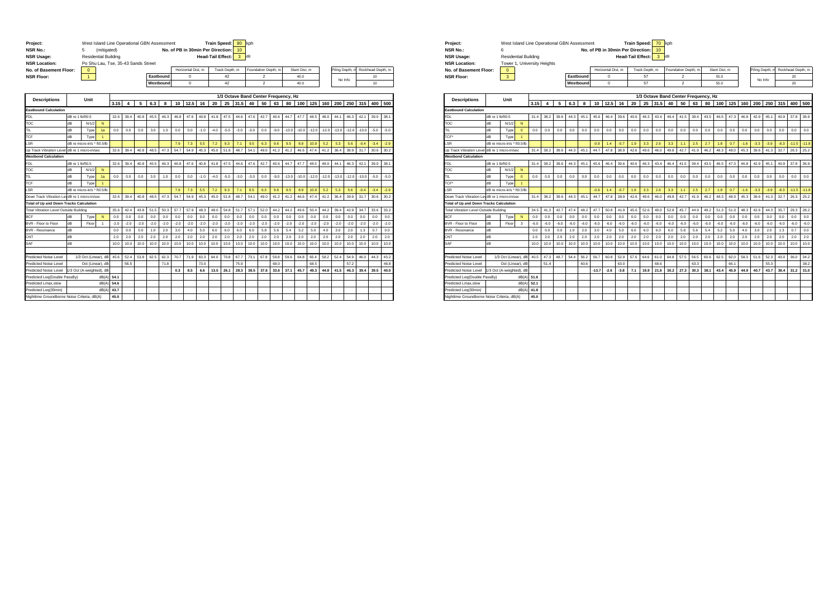| Project:<br><b>NSR No.:</b><br><b>NSR Usage:</b><br><b>NSR Location:</b> |                  | West Island Line Operational GBN Assessment<br>5<br><b>Residential Building</b><br>Po Shu Lau, Tse, 35-43 Sands Street | (mitigated)    |        |        |        |        |           | No. of PB in 30min Per Direction: |                   |        | <b>Train Speed:</b><br><b>Head-Tail Effect:</b> |                | 80<br>10 <sub>1</sub><br>3 | kph<br>dB |                         |        |                                      |              |         |         |         |                |         |                   |        |
|--------------------------------------------------------------------------|------------------|------------------------------------------------------------------------------------------------------------------------|----------------|--------|--------|--------|--------|-----------|-----------------------------------|-------------------|--------|-------------------------------------------------|----------------|----------------------------|-----------|-------------------------|--------|--------------------------------------|--------------|---------|---------|---------|----------------|---------|-------------------|--------|
| No. of Basement Floor:                                                   |                  | $\mathbf{0}$                                                                                                           |                |        |        |        |        |           |                                   | Horizontal Dist_m |        |                                                 | Track Depth, m |                            |           | Foundation Depth, m     |        |                                      | Slant Dist_m |         |         |         | iling Depth, m |         | Rockhead Depth, m |        |
| <b>NSR Floor:</b>                                                        |                  | $\mathbf{1}$                                                                                                           |                |        |        |        |        | Eastbound |                                   | $\mathbf 0$       |        |                                                 | 42             |                            |           | $\overline{\mathbf{2}}$ |        |                                      | 40.0         |         |         |         |                |         | 10                |        |
|                                                                          |                  |                                                                                                                        |                |        |        |        |        | Westbound |                                   | $\Omega$          |        |                                                 | 42             |                            |           | $\overline{2}$          |        |                                      | 40.0         |         |         |         | No Info        |         | 10 <sub>10</sub>  |        |
|                                                                          |                  |                                                                                                                        |                |        |        |        |        |           |                                   |                   |        |                                                 |                |                            |           |                         |        |                                      |              |         |         |         |                |         |                   |        |
|                                                                          |                  | Unit                                                                                                                   |                |        |        |        |        |           |                                   |                   |        |                                                 |                |                            |           |                         |        | 1/3 Octave Band Center Frequency, Hz |              |         |         |         |                |         |                   |        |
| <b>Descriptions</b>                                                      |                  |                                                                                                                        |                | 3.15   | 4      | 5      | 6.3    | 8         | 10                                | 12.5              | 16     | 20                                              | 25             | 31.5                       | 40        | 50                      | 63     | 80                                   | 100          | 125     | 160     | 200     | 250            | 315     | 400               | 500    |
| <b>Eastbound Calculation</b>                                             |                  |                                                                                                                        |                |        |        |        |        |           |                                   |                   |        |                                                 |                |                            |           |                         |        |                                      |              |         |         |         |                |         |                   |        |
| <b>FDL</b>                                                               | dB re 1 lb/ft0.5 |                                                                                                                        |                | 32.6   | 39.4   | 40.8   | 45.5   | 46.3      | 46.8                              | 47.6              | 40.8   | 41.8                                            | 47.5           | 44.6                       | 47.6      | 42.7                    | 40.6   | 44.7                                 | 47.7         | 48.5    | 48.0    | 44.1    | 46.3           | 42.1    | 39.0              | 38.1   |
| TOC                                                                      | dB               | N/1/2                                                                                                                  | N              |        |        |        |        |           |                                   |                   |        |                                                 |                |                            |           |                         |        |                                      |              |         |         |         |                |         |                   |        |
| TIL.                                                                     | dB               | Type                                                                                                                   | 1a             | 0.0    | 0.0    | 0.0    | 3.0    | 1.0       | 0.0                               | 0.0               | $-1.0$ | $-4.0$                                          | $-5.0$         | $-3.0$                     | $-3.0$    | 0.0                     | $-9.0$ | $-13.0$                              | $-10.0$      | $-12.0$ | $-12.0$ | $-13.0$ | $-12.0$        | $-10.0$ | $-5.0$            | $-5.0$ |
| TCF                                                                      | dB               | Type                                                                                                                   | 1              |        |        |        |        |           |                                   |                   |        |                                                 |                |                            |           |                         |        |                                      |              |         |         |         |                |         |                   |        |
| .SR                                                                      |                  | dB re micro-in/s * ft0.5/lb                                                                                            |                |        |        |        |        |           | 7.9                               | 7.3               | 5.5    | 7.2                                             | 9.3            | 7.1                        | 9.5       | 6.3                     | 9.6    | 9.5                                  | 8.9          | 10.9    | 5.2     | 5.3     | 5.6            | $-0.4$  | $-3.4$            | $-2.9$ |
| Up Track Vibration Leve                                                  |                  | dB re 1 micro-in/sec                                                                                                   |                | 32.6   | 39.4   | 40.8   | 48.5   | 47.3      | 54.7                              | 54.9              | 45.3   | 45.0                                            | 51.8           | 48.7                       | 54.1      | 49.0                    | 41.2   | 41.2                                 | 46.6         | 47.4    | 41.2    | 36.4    | 39.9           | 31.7    | 30.6              | 30.2   |
| <b>Westbond Calculation</b>                                              |                  |                                                                                                                        |                |        |        |        |        |           |                                   |                   |        |                                                 |                |                            |           |                         |        |                                      |              |         |         |         |                |         |                   |        |
| <b>FDL</b>                                                               | dB re 1 lb/ft0.5 |                                                                                                                        |                | 32.6   | 39.4   | 40.8   | 45.5   | 46.3      | 46.8                              | 47.6              | 40.8   | 41.8                                            | 47.5           | 44.6                       | 47.6      | 42.7                    | 40.6   | 44.7                                 | 47.7         | 48.5    | 48.0    | 44.1    | 46.3           | 42.1    | 39.0              | 38.1   |
| TOC                                                                      | dB               | N/1/2                                                                                                                  | N              |        |        |        |        |           |                                   |                   |        |                                                 |                |                            |           |                         |        |                                      |              |         |         |         |                |         |                   |        |
| TIL                                                                      | dB               | Type                                                                                                                   | 1a             | 0.0    | 0.0    | 0.0    | 3.0    | 1.0       | 0.0                               | 0.0               | $-1.0$ | $-4.0$                                          | $-5.0$         | $-3.0$                     | $-3.0$    | 0.0                     | $-9.0$ | $-13.0$                              | $-10.0$      | $-12.0$ | $-12.0$ | $-13.0$ | $-12.0$        | $-10.0$ | $-5.0$            | $-5.0$ |
| TCF                                                                      | dB               | Туре                                                                                                                   | $\overline{1}$ |        |        |        |        |           |                                   |                   |        |                                                 |                |                            |           |                         |        |                                      |              |         |         |         |                |         |                   |        |
| .SR                                                                      |                  | dB re micro-in/s * ft0.5/lb                                                                                            |                |        |        |        |        |           | 7.9                               | 7.3               | 5.5    | 7.2                                             | 9.3            | 7.1                        | 9.5       | 6.3                     | 9.6    | 9.5                                  | 8.9          | 10.9    | 5.2     | 5.3     | 5.6            | $-0.4$  | $-3.4$            | $-2.9$ |
| Down Track Vibration LevidB re 1 micro-in/sec                            |                  |                                                                                                                        |                | 32.6   | 39.4   | 40.8   | 48.5   | 47.3      | 54.7                              | 54.9              | 45.3   | 45.0                                            | 51.8           | 48.7                       | 54.1      | 49.0                    | 41.2   | 41.2                                 | 46.6         | 47.4    | 41.2    | 36.4    | 39.9           | 31.7    | 30.6              | 30.2   |
| <b>Total of Up and Down Tracks Calculation</b>                           |                  |                                                                                                                        |                |        |        |        |        |           |                                   |                   |        |                                                 |                |                            |           |                         |        |                                      |              |         |         |         |                |         |                   |        |
| Total Vibration Level Outside Building                                   |                  |                                                                                                                        |                | 35.6   | 42.4   | 43.8   | 51.5   | 50.3      | 57.7                              | 57.9              | 48.3   | 48.0                                            | 54.8           | 51.7                       | 57.1      | 52.0                    | 44.2   | 44.2                                 | 49.6         | 50.4    | 44.2    | 39.4    | 42.9           | 34.7    | 33.6              | 33.2   |
| <b>BCF</b>                                                               | dB               | Type                                                                                                                   | N              | 0.0    | 0.0    | 0.0    | 0.0    | 0.0       | 0.0                               | 0.0               | 0.0    | 0.0                                             | 0.0            | 0.0                        | 0.0       | 0.0                     | 0.0    | 0.0                                  | 0.0          | 0.0     | 0.0     | 0.0     | 0.0            | 0.0     | 0.0               | 0.0    |
| BVR - Floor to Floor                                                     | dB               | Floor                                                                                                                  | $\overline{1}$ | $-2.0$ | $-2.0$ | $-2.0$ | $-2.0$ | $-2.0$    | $-2.0$                            | $-2.0$            | $-2.0$ | $-2.0$                                          | $-2.0$         | $-2.0$                     | $-2.0$    | $-2.0$                  | $-2.0$ | $-2.0$                               | $-2.0$       | $-2.0$  | $-2.0$  | $-2.0$  | $-2.0$         | $-2.0$  | $-2.0$            | $-2.0$ |
| <b>BVR - Resonance</b>                                                   | dB               |                                                                                                                        |                | 0.0    | 0.0    | 0.0    | 1.0    | 2.0       | 3.0                               | 4.0               | 5.0    | 6.0                                             | 6.0            | 6.0                        | 6.0       | 5.8                     | 5.6    | 5.4                                  | 5.2          | 5.0     | 4.0     | 3.0     | 2.0            | 1.3     | 0.7               | 0.0    |
| CNT                                                                      | dB               |                                                                                                                        |                | 2.0    | 2.0    | 2.0    | 2.0    | 2.0       | 2.0                               | 2.0               | 2.0    | 2.0                                             | 2.0            | 2.0                        | 2.0       | 2.0                     | 2.0    | 2.0                                  | 2.0          | 2.0     | 2.0     | 2.0     | 2.0            | 2.0     | 2.0               | 2.0    |
| SAF                                                                      | dB               |                                                                                                                        |                | 10.0   | 10.0   | 10.0   | 10.0   | 10.0      | 10.0                              | 10.0              | 10.0   | 10.0                                            | 10.0           | 10.0                       | 10.0      | 10.0                    | 10.0   | 10.0                                 | 10.0         | 10.0    | 10.0    | 10.0    | 10.0           | 10.0    | 10.0              | 10.0   |
|                                                                          |                  |                                                                                                                        |                |        |        |        |        |           |                                   |                   |        |                                                 |                |                            |           |                         |        |                                      |              |         |         |         |                |         |                   |        |
| Predicted Noise Level                                                    |                  | 1/3 Oct (Linear), dB                                                                                                   |                | 45.6   | 52.4   | 53.8   | 62.5   | 62.3      | 70.7                              | 71.9              | 63.3   | 64.0                                            | 70.8           | 67.7                       | 73.1      | 67.8                    | 59.8   | 59.6                                 | 64.8         | 65.4    | 58.2    | 52.4    | 54.9           | 46.0    | 44.3              | 43.2   |
| Predicted Noise Level                                                    |                  | Oct (Linear), dB                                                                                                       |                |        | 56.5   |        |        | 71.8      |                                   |                   | 73.0   |                                                 |                | 75.9                       |           |                         | 69.0   |                                      |              | 68.5    |         |         | 572            |         |                   | 46.8   |
| Predicted Noise Level                                                    |                  | 1/3 Oct (A-weighted), dB                                                                                               |                |        |        |        |        |           | 0.3                               | 8.5               | 6.6    | 13.5                                            | 26.1           | 28.3                       | 38.5      | 37.6                    | 33.6   | 37.1                                 | 45.7         | 49.3    | 44.8    | 41.5    | 46.3           | 39.4    | 39.5              | 40.0   |
| Predicted Leq(Double PassBy)                                             |                  |                                                                                                                        | dB(A)          | 54.1   |        |        |        |           |                                   |                   |        |                                                 |                |                            |           |                         |        |                                      |              |         |         |         |                |         |                   |        |
| Predicted Lmax.slow                                                      |                  |                                                                                                                        | dB(A           | 54.6   |        |        |        |           |                                   |                   |        |                                                 |                |                            |           |                         |        |                                      |              |         |         |         |                |         |                   |        |
| Predicted Leg(30min)                                                     |                  |                                                                                                                        | dB(A)          | 43.7   |        |        |        |           |                                   |                   |        |                                                 |                |                            |           |                         |        |                                      |              |         |         |         |                |         |                   |        |
| Nighttime Groundborne Noise Criteria, dB(A)                              |                  |                                                                                                                        |                | 45.0   |        |        |        |           |                                   |                   |        |                                                 |                |                            |           |                         |        |                                      |              |         |         |         |                |         |                   |        |

| Project:               | West Island Line Operational GBN Assessment |           |                                   | Train Speed: 70 kph                |                     |               |         |                                   |
|------------------------|---------------------------------------------|-----------|-----------------------------------|------------------------------------|---------------------|---------------|---------|-----------------------------------|
| <b>NSR No.:</b>        |                                             |           | No. of PB in 30min Per Direction: | 10 <sup>10</sup>                   |                     |               |         |                                   |
| <b>NSR Usage:</b>      | <b>Residential Building</b>                 |           |                                   | <b>Head-Tail Effect:</b><br>$3$ dB |                     |               |         |                                   |
| <b>NSR Location:</b>   | Tower 1, University Heights                 |           |                                   |                                    |                     |               |         |                                   |
| No. of Basement Floor: | $\mathbf 0$                                 |           | Horizontal Dist. m                | Track Depth, m                     | Foundation Depth, m | Slant Dist. m |         | Piling Depth, m Rockhead Depth, m |
| <b>NSR Floor:</b>      |                                             | Eastbound |                                   | 57                                 |                     | 55.0          | No Info | 20                                |
|                        |                                             | Westbound |                                   | 57                                 |                     | 55.0          |         | 20                                |

|                                                |                  | Unit                        |                      |        |        |        |        |        |         |        |        |        |        |                |        | 1/3 Octave Band Center Frequency, Hz |        |        |        |        |                 |        |        |         |         |         |
|------------------------------------------------|------------------|-----------------------------|----------------------|--------|--------|--------|--------|--------|---------|--------|--------|--------|--------|----------------|--------|--------------------------------------|--------|--------|--------|--------|-----------------|--------|--------|---------|---------|---------|
| <b>Descriptions</b>                            |                  |                             |                      | 3.15   |        | 5      | 6.3    | 8      | 10      | 12.5   | 16     | 20     | 25     | 31.5           | 40     | 50                                   | 63     | 80     |        |        | 100 125 160 200 |        | 250    | 315 400 |         | 500     |
| <b>Eastbound Calculation</b>                   |                  |                             |                      |        |        |        |        |        |         |        |        |        |        |                |        |                                      |        |        |        |        |                 |        |        |         |         |         |
| <b>FDL</b>                                     | dB re 1 lb/ft0.5 |                             |                      | 31.4   | 38.2   | 39.6   | 44.3   | 45.1   | 45.6    | 46.4   | 39.6   | 40.6   | 46.3   | 43.4           | 46.4   | 41.5                                 | 39.4   | 43.5   | 46.5   | 47.3   | 46.8            | 42.9   | 45.1   | 40.9    | 37.8    | 36.9    |
| TOC                                            | dB               | N/1/2                       | N                    |        |        |        |        |        |         |        |        |        |        |                |        |                                      |        |        |        |        |                 |        |        |         |         |         |
| TIL                                            | dB               | Type                        | $\mathbf{0}$         | 0.0    | 0.0    | 0.0    | 0.0    | 0.0    | 0.0     | 0.0    | 0.0    | 0.0    | 0.0    | 0.0            | 0.0    | 0.0                                  | 0.0    | 0.0    | 0.0    | 0.0    | 0.0             | 0.0    | 0.0    | 0.0     | 0.0     | 0.0     |
| TCF*                                           | dB               | Type                        | $\mathbf{1}$         |        |        |        |        |        |         |        |        |        |        |                |        |                                      |        |        |        |        |                 |        |        |         |         |         |
| LSR                                            |                  | dB re micro-in/s * ft0.5/lb |                      |        |        |        |        |        | $-0.9$  | 1.4    | $-0.7$ | 1.9    | 3.3    | 2.6            | 3.3    | 1.1                                  | 2.5    | 2.7    | 1.8    | 0.7    | $-1.6$          | $-3.3$ | $-3.9$ | $-8.3$  | $-11.5$ | $-11.8$ |
| Up Track Vibration Level dB re 1 micro-in/sec  |                  |                             |                      | 31.4   | 38.2   | 39.6   | 44.3   | 45.1   | 44.7    | 47.8   | 38.9   | 42.6   | 49.6   | 46.0           | 49.8   | 42.7                                 | 41.9   | 46.2   | 48.3   | 48.0   | 45.3            | 39.6   | 41.3   | 32.7    | 26.3    | 25.2    |
| <b>Westbond Calculation</b>                    |                  |                             |                      |        |        |        |        |        |         |        |        |        |        |                |        |                                      |        |        |        |        |                 |        |        |         |         |         |
| <b>FDL</b>                                     | dB re 1 lb/ft0.5 |                             |                      | 31.4   | 38.2   | 39.6   | 44.3   | 45.1   | 45.6    | 46.4   | 39.6   | 40.6   | 46.3   | 43.4           | 46.4   | 41.5                                 | 39.4   | 43.5   | 46.5   | 47.3   | 46.8            | 42.9   | 45.1   | 40.9    | 37.8    | 36.9    |
| TOC                                            | dB               | N/1/2                       | N                    |        |        |        |        |        |         |        |        |        |        |                |        |                                      |        |        |        |        |                 |        |        |         |         |         |
| TIL                                            | dB               | Type                        | $\mathbf{0}$         | 0.0    | 0.0    | 0.0    | 0.0    | 0.0    | 0.0     | 0.0    | 0.0    | 0.0    | 0.0    | 0 <sub>0</sub> | 0.0    | 0.0                                  | 0.0    | 0.0    | 0.0    | 0.0    | 0.0             | 0.0    | 0.0    | 0.0     | 0.0     | 0.0     |
| TCF*                                           | dB               | Type                        | $\blacktriangleleft$ |        |        |        |        |        |         |        |        |        |        |                |        |                                      |        |        |        |        |                 |        |        |         |         |         |
| LSR                                            |                  | dB re micro-in/s * ft0.5/lb |                      |        |        |        |        |        | $-0.9$  | 1.4    | $-0.7$ | 1.9    | 3.3    | 2.6            | 3.3    | 1.1                                  | 2.5    | 2.7    | 1.8    | 0.7    | $-1.6$          | $-3.3$ | $-3.9$ | $-8.3$  | $-11.5$ | $-11.8$ |
| Down Track Vibration LevdB re 1 micro-in/sec   |                  |                             |                      | 31.4   | 38.2   | 39.6   | 44.3   | 45.1   | 44.7    | 47.8   | 38.9   | 42.6   | 49.6   | 46.0           | 49.8   | 42.7                                 | 41.9   | 46.2   | 48.3   | 48.0   | 45.3            | 39.6   | 41.3   | 32.7    | 26.3    | 25.2    |
| <b>Total of Up and Down Tracks Calculation</b> |                  |                             |                      |        |        |        |        |        |         |        |        |        |        |                |        |                                      |        |        |        |        |                 |        |        |         |         |         |
| Total Vibration Level Outside Building         |                  |                             |                      | 34.5   | 41.3   | 42.7   | 47.4   | 48.2   | 47.7    | 50.8   | 41.9   | 45.6   | 52.6   | 49.0           | 52.8   | 45.7                                 | 44.9   | 49.2   | 51.3   | 51.0   | 48.3            | 42.6   | 44.3   | 35.7    | 29.3    | 28.2    |
| <b>BCF</b>                                     | dB               | Type                        | N                    | 0.0    | 0.0    | 0.0    | 0.0    | 0.0    | 0.0     | 0.0    | 0.0    | 0.0    | 0.0    | 0.0            | 0.0    | 0.0                                  | 0.0    | 0.0    | 0.0    | 0.0    | 0.0             | 0.0    | 0.0    | 0.0     | 0.0     | 0.0     |
| <b>BVR - Floor to Floor</b>                    | dB               | Floor                       | $\mathbf{3}$         | $-6.0$ | $-6.0$ | $-6.0$ | $-6.0$ | $-6.0$ | $-6.0$  | $-6.0$ | $-6.0$ | $-6.0$ | $-6.0$ | $-6.0$         | $-6.0$ | $-6.0$                               | $-6.0$ | $-6.0$ | $-6.0$ | $-6.0$ | $-6.0$          | $-6.0$ | $-6.0$ | $-6.0$  | $-6.0$  | $-6.0$  |
| BVR - Resonance                                | dB               |                             |                      | 0.0    | 0.0    | 0.0    | 1.0    | 2.0    | 3.0     | 4.0    | 5.0    | 6.0    | 6.0    | 6.0            | 6.0    | 5.8                                  | 5.6    | 5.4    | 5.2    | 5.0    | 4.0             | 3.0    | 2.0    | 1.3     | 0.7     | 0.0     |
| CNT                                            | dB               |                             |                      | 2.0    | 2.0    | 2.0    | 2.0    | 2.0    | 2.0     | 2.0    | 2.0    | 2.0    | 2.0    | 2.0            | 2.0    | 2.0                                  | 2.0    | 2.0    | 2.0    | 2.0    | 2.0             | 2.0    | 2.0    | 2.0     | 2.0     | 2.0     |
| SAF                                            | dB               |                             |                      | 10.0   | 10.0   | 10.0   | 10.0   | 10.0   | 10.0    | 10.0   | 10.0   | 10.0   | 10.0   | 10.0           | 10.0   | 10.0                                 | 10.0   | 10.0   | 10.0   | 10.0   | 10.0            | 10.0   | 10.0   | 10.0    | 10.0    | 10.0    |
|                                                |                  |                             |                      |        |        |        |        |        |         |        |        |        |        |                |        |                                      |        |        |        |        |                 |        |        |         |         |         |
| Predicted Noise Level                          |                  | 1/3 Oct (Linear), dB        |                      | 40.5   | 47.3   | 48.7   | 54.4   | 56.2   | 56.7    | 60.8   | 52.9   | 57.6   | 64.6   | 61.0           | 64.8   | 57.5                                 | 56.5   | 60.6   | 62.5   | 62.0   | 58.3            | 51.6   | 52.3   | 43.0    | 36.0    | 34.2    |
| Predicted Noise Level                          |                  | Oct (Linear), dB            |                      |        | 51.4   |        |        | 60.6   |         |        | 63.0   |        |        | 68.6           |        |                                      | 63.3   |        |        | 66.1   |                 |        | 55.3   |         |         | 38.2    |
| <b>Predicted Noise Level</b>                   |                  | /3 Oct (A-weighted), dB     |                      |        |        |        |        |        | $-13.7$ | $-2.6$ | $-3.8$ | 7.1    | 19.9   | 21.6           | 30.2   | 27.3                                 | 30.3   | 38.1   | 43.4   | 45.9   | 44.9            | 40.7   | 43.7   | 36.4    | 31.2    | 31.0    |
| Predicted Leg(Double PassBv)                   |                  |                             | dB(A)                | 151.6  |        |        |        |        |         |        |        |        |        |                |        |                                      |        |        |        |        |                 |        |        |         |         |         |
| Predicted Lmax.slow                            |                  |                             | dB(A)                | 52.1   |        |        |        |        |         |        |        |        |        |                |        |                                      |        |        |        |        |                 |        |        |         |         |         |
| Predicted Leg(30min)                           |                  |                             | dB(A)                | 41.8   |        |        |        |        |         |        |        |        |        |                |        |                                      |        |        |        |        |                 |        |        |         |         |         |
| Nighttime Groundborne Noise Criteria, dB(A)    |                  |                             |                      | 45.0   |        |        |        |        |         |        |        |        |        |                |        |                                      |        |        |        |        |                 |        |        |         |         |         |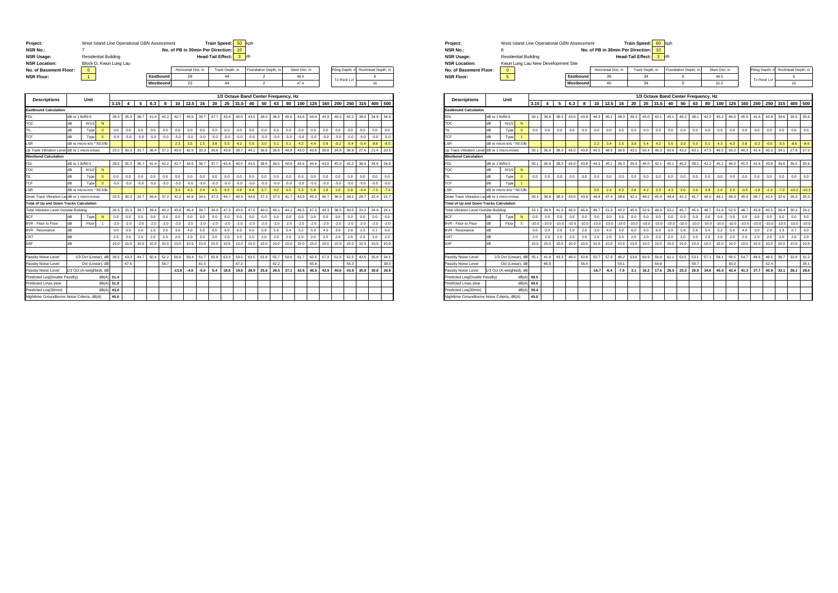| Project:                                       |                      |                                     | West Island Line Operational GBN Assessment |        |        |                |                |           |                |                    |        | <b>Train Speed:</b>               |                | 50             | kph                                  |                     |        |                |               |        |        |                 |                |        |                   |        |
|------------------------------------------------|----------------------|-------------------------------------|---------------------------------------------|--------|--------|----------------|----------------|-----------|----------------|--------------------|--------|-----------------------------------|----------------|----------------|--------------------------------------|---------------------|--------|----------------|---------------|--------|--------|-----------------|----------------|--------|-------------------|--------|
| <b>NSR No.:</b>                                |                      | 7                                   |                                             |        |        |                |                |           |                |                    |        | No. of PB in 30min Per Direction: |                | 10             |                                      |                     |        |                |               |        |        |                 |                |        |                   |        |
| <b>NSR Usage:</b>                              |                      |                                     | <b>Residential Building</b>                 |        |        |                |                |           |                |                    |        | <b>Head-Tail Effect:</b>          |                | $\overline{3}$ | dB                                   |                     |        |                |               |        |        |                 |                |        |                   |        |
| <b>NSR Location:</b>                           |                      | Block D, Kwun Lung Lau              |                                             |        |        |                |                |           |                |                    |        |                                   |                |                |                                      |                     |        |                |               |        |        |                 |                |        |                   |        |
| No. of Basement Floor:                         |                      | $\mathbf{0}$                        |                                             |        |        |                |                |           |                | Horizontal Dist. m |        |                                   | Track Depth, m |                |                                      | Foundation Depth. m |        |                | Slant Dist. m |        |        | Piling Depth, n |                |        | Rockhead Depth, m |        |
| <b>NSR Floor:</b>                              |                      | $\mathbf{1}$                        |                                             |        |        |                |                | Eastbound |                | 26                 |        |                                   | 44             |                |                                      | $\overline{2}$      |        |                | 494           |        |        | To Rock Lvl     |                |        | 8                 |        |
|                                                |                      |                                     |                                             |        |        |                |                | Westbound |                | 22                 |        |                                   | 44             |                |                                      | $\overline{2}$      |        |                | 47.4          |        |        |                 |                |        | 16                |        |
|                                                |                      |                                     |                                             |        |        |                |                |           |                |                    |        |                                   |                |                |                                      |                     |        |                |               |        |        |                 |                |        |                   |        |
| <b>Descriptions</b>                            |                      | Unit                                |                                             |        |        |                |                |           |                |                    |        |                                   | 25             | 31.5           | 1/3 Octave Band Center Frequency, Hz |                     |        |                |               |        |        | 200             |                |        |                   |        |
| <b>Eastbound Calculation</b>                   |                      |                                     |                                             | 3.15   | 4      | 5              | 6.3            | 8         | 10             | 12.5               | 16     | 20                                |                |                | 40                                   | 50                  | 63     | 80             | 100           | 125    | 160    |                 | 250            | 315    | 400               | 500    |
|                                                | dB re 1 lb/ft0.5     |                                     |                                             | 28.5   | 35.3   | 36.7           | 414            | 42.2      |                | 43.5               | 36.7   | 37.7                              | 43.4           | 40.5           | 43.5                                 | 38.6                | 36.5   |                | 43.6          |        |        | 40.0            | 42.2           | 38.0   | 34.9              | 34.0   |
| FDL<br>гос                                     | dB                   | N/1/2                               | N                                           |        |        |                |                |           | 42.7           |                    |        |                                   |                |                |                                      |                     |        | 40.6           |               | 44.4   | 43.9   |                 |                |        |                   |        |
| TIL                                            | dB                   | Type                                | $\mathbf{0}$                                | 0.0    | 0.0    | 0 <sub>0</sub> | 0 <sub>0</sub> | 0.0       | 0 <sub>0</sub> | 0.0                | 0.0    | 0.0                               | 0.0            | 0.0            | 0.0                                  | 0.0                 | 0.0    | 0 <sub>0</sub> | 0.0           | 0.0    | 0.0    | 0.0             | 0 <sub>0</sub> | 0.0    | 0.0               | 0.0    |
| <b>CF</b>                                      | dB                   |                                     | 5                                           | $-5.0$ | $-5.0$ | $-5.0$         | $-5.0$         | $-5.0$    | $-5.0$         | $-5.0$             | $-5.0$ | $-5.0$                            | $-5.0$         | $-5.0$         | $-5.0$                               | $-5.0$              | $-5.0$ | $-5.0$         | $-5.0$        | $-5.0$ | $-5.0$ | $-5.0$          | $-5.0$         | $-5.0$ | $-5.0$            | $-5.0$ |
| .SR                                            |                      | Type<br>dB re micro-in/s * ft0.5/lb |                                             |        |        |                |                |           | 2.3            | 3.5                | 1.5    | 3.8                               | 5.5            | 4.2            | 5.6                                  | 3.0                 | 5.1    | 5.1            | 4.3           | 4.4    | 0.9    | $-0.2$          | $-0.4$         | $-5.4$ | $-8.6$            | $-8.5$ |
| Jp Track Vibration Leve                        |                      | dB re 1 micro-in/sec                |                                             | 23.5   | 30.3   | 31.7           | 36.4           | 37.2      | 40.0           | 42.0               | 33.3   | 36.6                              | 43.9           | 39.7           | 44.1                                 | 36.6                | 36.6   | 40.8           | 43.0          | 43.8   | 39.8   | 34.9            | 36.8           | 27.6   | 21.4              | 20.5   |
| <b>Westbond Calculation</b>                    |                      |                                     |                                             |        |        |                |                |           |                |                    |        |                                   |                |                |                                      |                     |        |                |               |        |        |                 |                |        |                   |        |
| <b>FDL</b>                                     | dB re 1 lb/ft0.5     |                                     |                                             | 28.5   | 35.3   | 36.7           | 41.4           | 42.2      | 42.7           | 43.5               | 36.7   | 37.7                              | 43.4           | 40.5           | 43.5                                 | 38.6                | 36.5   | 40.6           | 43.6          | 44.4   | 43.9   | 40.0            | 42.2           | 38.0   | 34.9              | 34.0   |
| TOC                                            | dB                   | N/1/2                               | N                                           |        |        |                |                |           |                |                    |        |                                   |                |                |                                      |                     |        |                |               |        |        |                 |                |        |                   |        |
| TIL                                            | dB                   | Type                                | $\mathbf{0}$                                | 0.0    | 0.0    | 0.0            | 0.0            | 0.0       | 0.0            | 0.0                | 0.0    | 0.0                               | 0.0            | 0.0            | 0.0                                  | 0.0                 | 0.0    | 0.0            | 0.0           | 0.0    | 0.0    | 0.0             | 0.0            | 0.0    | 0.0               | 0.0    |
| <b>TCF</b>                                     | dB                   | Type                                | 5                                           | $-5.0$ | $-5.0$ | $-5.0$         | $-5.0$         | $-5.0$    | $-5.0$         | $-5.0$             | $-5.0$ | $-5.0$                            | $-5.0$         | $-5.0$         | $-5.0$                               | $-5.0$              | $-5.0$ | $-5.0$         | $-5.0$        | $-5.0$ | $-5.0$ | $-5.0$          | $-5.0$         | $-5.0$ | $-5.0$            | $-5.0$ |
| .SR                                            |                      | dB re micro-in/s * ft0.5/lb         |                                             |        |        |                |                |           | 3.4            | 4.3                | 2.4    | 4.5                               | 6.3            | 4.8            | 6.4                                  | 3.7                 | 6.0    | 6.0            | 5.3           | 5.8    | 1.8    | 1.0             | 0.9            | $-4.4$ | $-7.5$            | $-7.4$ |
| Down Track Vibration Le                        | dB re 1 micro-in/sec |                                     |                                             | 23.5   | 30.3   | 31.7           | 36.4           | 37.2      | 41.2           | 42.8               | 34.1   | 37.3                              | 44.7           | 40.3           | 44.9                                 | 37.3                | 37.5   | 41.7           | 43.9          | 45.2   | 40.7   | 36.0            | 38.1           | 28.7   | 22.4              | 21.7   |
| <b>Total of Up and Down Tracks Calculation</b> |                      |                                     |                                             |        |        |                |                |           |                |                    |        |                                   |                |                |                                      |                     |        |                |               |        |        |                 |                |        |                   |        |
| <b>Total Vibration Level Outside Building</b>  |                      |                                     |                                             | 26.5   | 33.3   | 34.7           | 39.4           | 40.2      | 43.6           | 45.4               | 36.7   | 39.9                              | 47.3           | 43.0           | 47.5                                 | 40.0                | 40.1   | 44.2           | 46.5          | 47.6   | 43.3   | 38.5            | 40.5           | 31.2   | 24.9              | 24.1   |
| <b>BCF</b>                                     | dB                   | Type                                | ${\sf N}$                                   | 0.0    | 0.0    | 0.0            | 0.0            | 0.0       | 0.0            | 0.0                | 0.0    | 0.0                               | 0.0            | 0.0            | 0.0                                  | 0.0                 | 0.0    | 0.0            | 0.0           | 0.0    | 0.0    | 0.0             | 0.0            | 0.0    | 0.0               | 0.0    |
| BVR - Floor to Floor                           | dB                   | Floor                               |                                             | $-2.0$ | $-2.0$ | $-2.0$         | $-2.0$         | $-2.0$    | $-2.0$         | $-2.0$             | $-2.0$ | $-2.0$                            | $-2.0$         | $-2.0$         | $-2.0$                               | $-2.0$              | $-2.0$ | $-2.0$         | $-2.0$        | $-2.0$ | $-2.0$ | $-2.0$          | $-2.0$         | $-2.0$ | $-2.0$            | $-2.0$ |
| <b>BVR - Resonance</b>                         | dB                   |                                     |                                             | 0.0    | 0.0    | 0.0            | 1.0            | 2.0       | 3.0            | 4.0                | 5.0    | 6.0                               | 6.0            | 6.0            | 6.0                                  | 5.8                 | 5.6    | 5.4            | 5.2           | 5.0    | 4.0    | 3.0             | 2.0            | 1.3    | 0.7               | 0.0    |
| CNT                                            | dB                   |                                     |                                             | 2.0    | 2.0    | 2.0            | 2.0            | 2.0       | 2.0            | 2.0                | 2.0    | 2.0                               | 2.0            | 2.0            | 2.0                                  | 2.0                 | 2.0    | 2.0            | 2.0           | 2.0    | 2.0    | 2.0             | 2.0            | 2.0    | 2.0               | 2.0    |
| SAF                                            | dB                   |                                     |                                             | 10.0   | 10.0   | 10.0           | 10.0           | 10.0      | 10.0           | 10.0               | 10.0   | 10.0                              | 10.0           | 10.0           | 10.0                                 | 10.0                | 10.0   | 10.0           | 10.0          | 10.0   | 10.0   | 10.0            | 10.0           | 10.0   | 10.0              | 10.0   |
|                                                |                      |                                     |                                             |        |        |                |                |           |                |                    |        |                                   |                |                |                                      |                     |        |                |               |        |        |                 |                |        |                   |        |
| assby Noise Level                              |                      | 1/3 Oct (Linear), dB                |                                             | 36.5   | 43.3   | 44.7           | 50.4           | 52.2      | 56.6           | 59.4               | 51.7   | 55.9                              | 63.3           | 59.0           | 63.5                                 | 55.8                | 55.7   | 59.6           | 61.7          | 62.6   | 57.3   | 51.5            | 52.5           | 42.5   | 35.6              | 34.1   |
| Passby Noise Level                             |                      | Oct (Linear), dB                    |                                             |        | 47.5   |                |                | 58.7      |                |                    | 61.5   |                                   |                | 67.2           |                                      |                     | 62.2   |                |               | 65.8   |        |                 | 55.3           |        |                   | 38.0   |
| Passby Noise Level                             |                      | /3 Oct (A-weighted), dB             |                                             |        |        |                |                |           | $-13.8$        | $-4.0$             | $-5.0$ | 5.4                               | 18.6           | 19.6           | 28.9                                 | 25.6                | 29.5   | 37.1           | 42.6          | 46.5   | 43.9   | 40.6            | 43.9           | 35.9   | 30.8              | 30.9   |
| Predicted Leg(Double PassBy)                   |                      |                                     | dB(A)                                       | 51.4   |        |                |                |           |                |                    |        |                                   |                |                |                                      |                     |        |                |               |        |        |                 |                |        |                   |        |
| Predicted Lmax, slow                           |                      |                                     | dB(A)                                       | 51.9   |        |                |                |           |                |                    |        |                                   |                |                |                                      |                     |        |                |               |        |        |                 |                |        |                   |        |
| Predicted Leg(30min)                           |                      |                                     | dB(A                                        | 43.0   |        |                |                |           |                |                    |        |                                   |                |                |                                      |                     |        |                |               |        |        |                 |                |        |                   |        |
| Nighttime Groundborne Noise Criteria, dB(A)    |                      |                                     |                                             | 45.0   |        |                |                |           |                |                    |        |                                   |                |                |                                      |                     |        |                |               |        |        |                 |                |        |                   |        |

| Project:               | West Island Line Operational GBN Assessment |           |                                      | Train Speed: 60 kph                |                     |               |            |                                   |
|------------------------|---------------------------------------------|-----------|--------------------------------------|------------------------------------|---------------------|---------------|------------|-----------------------------------|
| <b>NSR No.:</b>        |                                             |           | No. of PB in 30min Per Direction: 10 |                                    |                     |               |            |                                   |
| <b>NSR Usage:</b>      | <b>Residential Building</b>                 |           |                                      | <b>Head-Tail Effect:</b><br>$3$ dB |                     |               |            |                                   |
| <b>NSR Location:</b>   | Kwun Lung Lau New Development Site          |           |                                      |                                    |                     |               |            |                                   |
| No. of Basement Floor: |                                             |           | Horizontal Dist. m                   | Track Depth, m                     | Foundation Depth, m | Slant Dist. m |            | Piling Depth, m Rockhead Depth, m |
| <b>NSR Floor:</b>      |                                             | Eastbound | 36                                   | 34                                 |                     | 49.5          | To Rock Lv |                                   |
|                        |                                             | Westbound | 40                                   | 34                                 |                     | 52.5          |            | 16                                |

| <b>Descriptions</b>                            |                  | Unit                        |                      |        |         |         |         |         |         |                |         |         |         | 1/3 Octave Band Center Frequency, Hz |         |                |         |         |         |         |         |                |                |         |         |         |
|------------------------------------------------|------------------|-----------------------------|----------------------|--------|---------|---------|---------|---------|---------|----------------|---------|---------|---------|--------------------------------------|---------|----------------|---------|---------|---------|---------|---------|----------------|----------------|---------|---------|---------|
|                                                |                  |                             |                      | 3.15   |         | 5       | 6.3     | 8       | 10      | 12.5           | 16      | 20      | 25      | 31.5                                 | 40      | 50             | 63      | 80      | 100     | 125     | 160     | 200            | 250            | 315     | 400     | 500     |
| <b>Eastbound Calculation</b>                   |                  |                             |                      |        |         |         |         |         |         |                |         |         |         |                                      |         |                |         |         |         |         |         |                |                |         |         |         |
| <b>FDL</b>                                     | dB re 1 lb/ft0.5 |                             |                      | 30.1   | 36.9    | 38.3    | 43.0    | 43.8    | 44.3    | 45.1           | 38.3    | 39.3    | 45.0    | 42.1                                 | 45.1    | 40.2           | 38.1    | 42.2    | 45.2    | 46.0    | 45.5    | 41.6           | 43.8           | 39.6    | 36.5    | 35.6    |
| TOC                                            | dB               | N/1/2                       | $\mathsf{N}$         |        |         |         |         |         |         |                |         |         |         |                                      |         |                |         |         |         |         |         |                |                |         |         |         |
| TIL                                            | dB               | Type                        | $\Omega$             | 0.0    | 0.0     | 0.0     | 0.0     | 0.0     | 0.0     | 0 <sub>0</sub> | 0.0     | 0.0     | 0.0     | 0.0                                  | 0.0     | 0 <sub>0</sub> | 0.0     | 0.0     | 0.0     | 0.0     | 0.0     | 0 <sub>0</sub> | 0 <sub>0</sub> | 0.0     | 0.0     | 0.0     |
| TCF                                            | dB               | Type                        | $\overline{1}$       |        |         |         |         |         |         |                |         |         |         |                                      |         |                |         |         |         |         |         |                |                |         |         |         |
| .SR                                            |                  | dB re micro-in/s * ft0.5/lb |                      |        |         |         |         |         | 2.2     | 3.4            | 1.5     | 3.8     | 5.4     | 4.2                                  | 5.5     | 3.0            | 5.0     | 5.1     | 4.3     | 4.3     | 0.8     | $-0.2$         | $-0.5$         | $-5.5$  | $-8.6$  | $-8.6$  |
| Jo Track Vibration Level dB re 1 micro-in/sec  |                  |                             |                      | 30.1   | 36.9    | 38.3    | 43.0    | 43.8    | 46.5    | 48.5           | 39.8    | 43.1    | 50.4    | 46.3                                 | 50.6    | 43.2           | 43.1    | 47.3    | 49.5    | 50.3    | 46.3    | 41.4           | 43.3           | 34.1    | 27.9    | 27.0    |
| <b>Westbond Calculation</b>                    |                  |                             |                      |        |         |         |         |         |         |                |         |         |         |                                      |         |                |         |         |         |         |         |                |                |         |         |         |
| FDL                                            | dB re 1 lb/ft0.5 |                             |                      | 30.1   | 36.9    | 38.3    | 43.0    | 43.8    | 44.3    | 45.1           | 38.3    | 39.3    | 45.0    | 42.1                                 | 45.1    | 40.2           | 38.1    | 42.2    | 45.2    | 46.0    | 45.5    | 41.6           | 43.8           | 39.6    | 36.5    | 35.6    |
| TOC                                            | dB               | N/1/2                       | N                    |        |         |         |         |         |         |                |         |         |         |                                      |         |                |         |         |         |         |         |                |                |         |         |         |
| TIL                                            | dB               | Type                        | $\mathbf{0}$         | 0.0    | 0.0     | 0.0     | 0.0     | 0.0     | 0.0     | 0.0            | 0.0     | 0.0     | 0.0     | 0.0                                  | 0.0     | 0.0            | 0.0     | 0.0     | 0.0     | 0.0     | 0.0     | 0.0            | 0.0            | 0.0     | 0.0     | 0.0     |
| <b>TCF</b>                                     | dB               | Type                        | $\blacktriangleleft$ |        |         |         |         |         |         |                |         |         |         |                                      |         |                |         |         |         |         |         |                |                |         |         |         |
| .SR                                            |                  | dB re micro-in/s * ft0.5/lb |                      |        |         |         |         |         | 0.5     | 2.3            | 0.3     | 2.8     | 4.2     | 3.3                                  | 4.3     | 2.0            | 3.6     | 3.8     | 2.9     | 2.3     | $-0.5$  | $-1.9$         | $-2.3$         | $-7.0$  | 10.2    | $-10.3$ |
| Down Track Vibration LevidB re 1 micro-in/sec  |                  |                             |                      | 30.1   | 36.9    | 38.3    | 43.0    | 43.8    | 44.8    | 47.4           | 38.6    | 42.1    | 49.2    | 45.4                                 | 49.4    | 42.2           | 41.7    | 46.0    | 48.1    | 48.3    | 45.0    | 39.7           | 41.5           | 32.6    | 26.3    | 25.3    |
| <b>Total of Up and Down Tracks Calculation</b> |                  |                             |                      |        |         |         |         |         |         |                |         |         |         |                                      |         |                |         |         |         |         |         |                |                |         |         |         |
| Total Vibration Level Outside Building         |                  |                             |                      | 33.1   | 39.9    | 41.3    | 46.0    | 46.8    | 48.7    | 51.0           | 42.2    | 45.6    | 52.9    | 48.9                                 | 53.1    | 45.7           | 45.5    | 49.7    | 51.9    | 52.5    | 48.7    | 43.6           | 45.5           | 36.4    | 30.2    | 29.2    |
| <b>BCF</b>                                     | dB               | Type                        | $\mathsf{N}$         | 0.0    | 0.0     | 0.0     | 0.0     | 0.0     | 0.0     | 0 <sub>0</sub> | 0.0     | 0.0     | 0.0     | 0.0                                  | 0.0     | 0.0            | 0.0     | 0.0     | 0.0     | 0.0     | 0.0     | 0.0            | 0.0            | 0.0     | 0.0     | 0.0     |
| BVR - Floor to Floor                           | dB               | Floor                       | 5.                   | $-100$ | $-10.0$ | $-10.0$ | $-10.0$ | $-10.0$ | $-10.0$ | $-100$         | $-10.0$ | $-10.0$ | $-10.0$ | $-10.0$                              | $-10.0$ | $-10.0$        | $-10.0$ | $-10.0$ | $-10.0$ | $-10.0$ | $-10.0$ | $-10.0$        | $-10.0$        | $-10.0$ | $-10.0$ | $-10.0$ |
| <b>BVR - Resonance</b>                         | dB               |                             |                      | 0.0    | 0.0     | 0.0     | 1.0     | 2.0     | 3.0     | 4.0            | 5.0     | 6.0     | 6.0     | 6.0                                  | 6.0     | 5.8            | 5.6     | 5.4     | 5.2     | 5.0     | 4.0     | 3.0            | 2.0            | 1.3     | 0.7     | 0.0     |
| CNT                                            | dB               |                             |                      | 2.0    | 2.0     | 2.0     | 2.0     | 2.0     | 2.0     | 2.0            | 2.0     | 2.0     | 2.0     | 2.0                                  | 2.0     | 2.0            | 2.0     | 2.0     | 2.0     | 2.0     | 2.0     | 2.0            | 2.0            | 2.0     | 2.0     | 2.0     |
| SAF                                            | dB               |                             |                      | 10.0   | 10.0    | 10.0    | 10.0    | 10.0    | 10.0    | 10.0           | 10.0    | 10.0    | 10.0    | 10.0                                 | 10.0    | 10.0           | 10.0    | 10.0    | 10.0    | 10.0    | 10.0    | 10.0           | 10.0           | 10.0    | 10.0    | 10.0    |
|                                                |                  |                             |                      |        |         |         |         |         |         |                |         |         |         |                                      |         |                |         |         |         |         |         |                |                |         |         |         |
| Passby Noise Level                             |                  | 1/3 Oct (Linear), dB        |                      | 35.1   | 41.9    | 43.3    | 49.0    | 50.8    | 53.7    | 57.0           | 49.2    | 53.6    | 60.9    | 56.9                                 | 61.1    | 53.5           | 53.1    | 57.1    | 59.1    | 59.5    | 54.7    | 48.6           | 49.5           | 39.7    | 32.9    | 31.2    |
| Passby Noise Level                             |                  | Oct (Linear), dB            |                      |        | 46.0    |         |         | 56.4    |         |                | 59.1    |         |         | 64.8                                 |         |                | 59.7    |         |         | 63.0    |         |                | 52.4           |         |         | 35.1    |
| Passby Noise Level                             |                  | /3 Oct (A-weighted), dB     |                      |        |         |         |         |         | $-16.7$ | $-6.4$         | $-7.5$  | 3.1     | 16.2    | 17.5                                 | 26.5    | 23.3           | 26.9    | 34.6    | 40.0    | 43.4    | 41.3    | 37.7           | 40.9           | 33.1    | 28.1    | 28.0    |
| Predicted Leg(Double PassBy)                   |                  |                             | dB(A                 | 48.5   |         |         |         |         |         |                |         |         |         |                                      |         |                |         |         |         |         |         |                |                |         |         |         |
| Predicted Lmax.slow                            |                  |                             | dB(A                 | 49.0   |         |         |         |         |         |                |         |         |         |                                      |         |                |         |         |         |         |         |                |                |         |         |         |
| Predicted Leg(30min)                           |                  |                             | dB(A                 | 39.4   |         |         |         |         |         |                |         |         |         |                                      |         |                |         |         |         |         |         |                |                |         |         |         |
| Nighttime Groundborne Noise Criteria, dB(A)    |                  |                             |                      | 45.0   |         |         |         |         |         |                |         |         |         |                                      |         |                |         |         |         |         |         |                |                |         |         |         |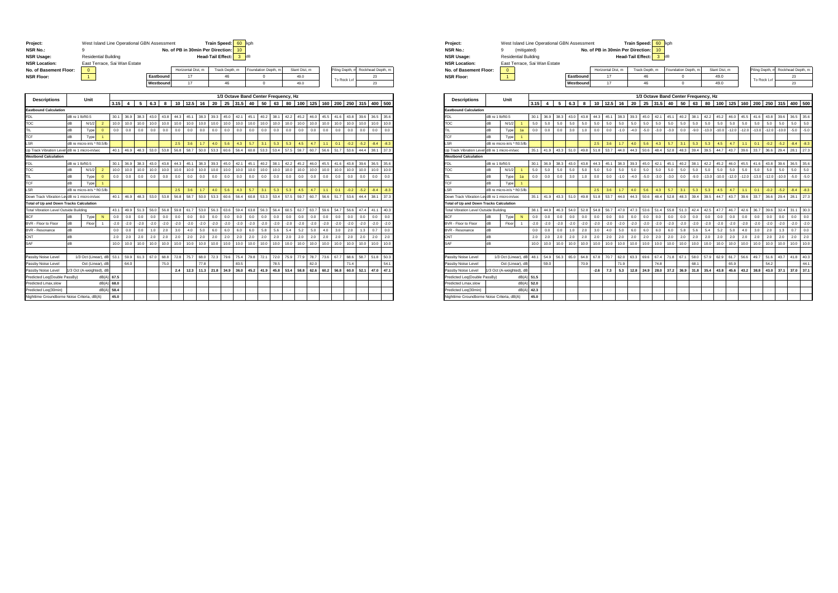| Project:<br><b>NSR No.:</b><br><b>NSR Usage:</b> |                  | West Island Line Operational GBN Assessment<br>9<br><b>Residential Building</b> |                |        |        |        |        |           | No. of PB in 30min Per Direction: |                    |        | <b>Train Speed:</b><br><b>Head-Tail Effect:</b> |                | 60<br>10<br>3 | kph<br>dB |                     |                                      |        |              |        |        |        |                |        |                   |        |
|--------------------------------------------------|------------------|---------------------------------------------------------------------------------|----------------|--------|--------|--------|--------|-----------|-----------------------------------|--------------------|--------|-------------------------------------------------|----------------|---------------|-----------|---------------------|--------------------------------------|--------|--------------|--------|--------|--------|----------------|--------|-------------------|--------|
| <b>NSR Location:</b>                             |                  | East Terrace, Sai Wan Estate                                                    |                |        |        |        |        |           |                                   |                    |        |                                                 |                |               |           |                     |                                      |        |              |        |        |        |                |        |                   |        |
| No. of Basement Floor:                           |                  | $\mathbf{0}$                                                                    |                |        |        |        |        |           |                                   | Horizontal Dist, m |        |                                                 | Track Depth, m |               |           | Foundation Depth, m |                                      |        | Slant Dist_m |        |        |        | iling Depth, m |        | Rockhead Depth, m |        |
| <b>NSR Floor:</b>                                |                  | $\mathbf{1}$                                                                    |                |        |        |        |        | Eastbound |                                   | 17                 |        |                                                 | 46             |               |           | $\mathbf{0}$        |                                      |        | 49.0         |        |        |        |                |        | 23                |        |
|                                                  |                  |                                                                                 |                |        |        |        |        | Westbound |                                   | 17                 |        |                                                 | 46             |               |           | $\Omega$            |                                      |        | 49.0         |        |        |        | To Rock Lvl    |        | 23                |        |
|                                                  |                  |                                                                                 |                |        |        |        |        |           |                                   |                    |        |                                                 |                |               |           |                     |                                      |        |              |        |        |        |                |        |                   |        |
| <b>Descriptions</b>                              |                  | Unit                                                                            |                |        |        |        |        |           |                                   |                    |        |                                                 |                |               |           |                     | 1/3 Octave Band Center Frequency, Hz |        |              |        |        |        |                |        |                   |        |
|                                                  |                  |                                                                                 |                | 3.15   | 4      | 5      | 6.3    | 8         | 10                                | 12.5               | 16     | 20                                              | 25             | 31.5          | 40        | 50                  | 63                                   | 80     | 100          | 125    | 160    | 200    | 250            | 315    | 400               | 500    |
| <b>Eastbound Calculation</b>                     |                  |                                                                                 |                |        |        |        |        |           |                                   |                    |        |                                                 |                |               |           |                     |                                      |        |              |        |        |        |                |        |                   |        |
| <b>FDL</b>                                       | dB re 1 lb/ft0.5 |                                                                                 |                | 30.1   | 36.9   | 38.3   | 43.0   | 43.8      | 44.3                              | 45.1               | 38.3   | 39.3                                            | 45.0           | 42.1          | 45.1      | 40.2                | 38.1                                 | 42.2   | 45.2         | 46.0   | 45.5   | 41.6   | 43.8           | 39.6   | 36.5              | 35.6   |
| TOC                                              | dB               | N/1/2                                                                           | $\overline{2}$ | 10.0   | 10.0   | 10.0   | 10.0   | 10.0      | 10.0                              | 10.0               | 10.0   | 10.0                                            | 10.0           | 10.0          | 10.0      | 10.0                | 10.0                                 | 10.0   | 10.0         | 10.0   | 10.0   | 10.0   | 10.0           | 10.0   | 10.0              | 10.0   |
| TIL.                                             | dB               | Type                                                                            | $\mathbf{0}$   | 0.0    | 0.0    | 0.0    | 0.0    | 0.0       | 0.0                               | 0.0                | 0.0    | 0.0                                             | 0.0            | 0.0           | 0.0       | 0.0                 | 0.0                                  | 0.0    | 0.0          | 0.0    | 0.0    | 0.0    | 0.0            | 0.0    | 0.0               | 0.0    |
| TCF                                              | dB               | Type                                                                            | 1              |        |        |        |        |           |                                   |                    |        |                                                 |                |               |           |                     |                                      |        |              |        |        |        |                |        |                   |        |
| .SR                                              |                  | dB re micro-in/s * ft0.5/lb                                                     |                |        |        |        |        |           | 2.5                               | 3.6                | 1.7    | 4.0                                             | 5.6            | 4.3           | 5.7       | 3.1                 | 5.3                                  | 5.3    | 4.5          | 4.7    | 1.1    | 0.1    | $-0.2$         | $-5.2$ | $-8.4$            | $-8.3$ |
| Up Track Vibration Leve                          |                  | dB re 1 micro-in/sec                                                            |                | 40.1   | 46.9   | 48.3   | 53.0   | 53.8      | 56.8                              | 58.7               | 50.0   | 53.3                                            | 60.6           | 56.4          | 60.8      | 53.3                | 53.4                                 | 57.5   | 59.7         | 60.7   | 56.6   | 51.7   | 53.6           | 44.4   | 38.1              | 37.3   |
| <b>Westbond Calculation</b>                      |                  |                                                                                 |                |        |        |        |        |           |                                   |                    |        |                                                 |                |               |           |                     |                                      |        |              |        |        |        |                |        |                   |        |
| <b>FDL</b>                                       | dB re 1 lb/ft0.5 |                                                                                 |                | 30.1   | 36.9   | 38.3   | 43.0   | 43.8      | 44.3                              | 45.1               | 38.3   | 39.3                                            | 45.0           | 42.1          | 45.1      | 40.2                | 38.1                                 | 42.2   | 45.2         | 46.0   | 45.5   | 41.6   | 43.8           | 39.6   | 36.5              | 35.6   |
| TOC                                              | dB               | N/1/2                                                                           | $\overline{2}$ | 10.0   | 10.0   | 10.0   | 10.0   | 10.0      | 10.0                              | 10.0               | 10.0   | 10.0                                            | 10.0           | 10.0          | 10.0      | 10.0                | 10.0                                 | 10.0   | 10.0         | 10.0   | 10.0   | 10.0   | 10.0           | 10.0   | 10.0              | 10.0   |
| TIL                                              | dB               | Type                                                                            | $\mathbf{0}$   | 0.0    | 0.0    | 0.0    | 0.0    | 0.0       | 0.0                               | 0.0                | 0.0    | 0.0                                             | 0.0            | 0.0           | 0.0       | 0.0                 | 0.0                                  | 0.0    | 0.0          | 0.0    | 0.0    | 0.0    | 0.0            | 0.0    | 0.0               | 0.0    |
| TCF                                              | dB               | Туре                                                                            | ٩              |        |        |        |        |           |                                   |                    |        |                                                 |                |               |           |                     |                                      |        |              |        |        |        |                |        |                   |        |
| .SR                                              |                  | dB re micro-in/s * ft0.5/lb                                                     |                |        |        |        |        |           | 2.5                               | 3.6                | 1.7    | 4.0                                             | 5.6            | 4.3           | 5.7       | 3.1                 | 5.3                                  | 5.3    | 4.5          | 4.7    | 1.1    | 0.1    | $-0.2$         | $-5.2$ | $-8.4$            | $-8.3$ |
| Down Track Vibration LevidB re 1 micro-in/sec    |                  |                                                                                 |                | 401    | 46.9   | 48.3   | 53.0   | 53.8      | 56.8                              | 58.7               | 50.0   | 53.3                                            | 60.6           | 56.4          | 60.8      | 53.3                | 53.4                                 | 57.5   | 59.7         | 60.7   | 56.6   | 51.7   | 53.6           | 44.4   | 38.1              | 37.3   |
| <b>Total of Up and Down Tracks Calculation</b>   |                  |                                                                                 |                |        |        |        |        |           |                                   |                    |        |                                                 |                |               |           |                     |                                      |        |              |        |        |        |                |        |                   |        |
| Total Vibration Level Outside Building           |                  |                                                                                 |                | 43.1   | 49.9   | 51.3   | 56.0   | 56.8      | 59.8                              | 61.7               | 53.0   | 56.3                                            | 63.6           | 59.4          | 63.8      | 56.3                | 56.4                                 | 60.5   | 62.7         | 63.7   | 59.6   | 54.7   | 56.6           | 47.4   | 41.1              | 40.3   |
| <b>BCF</b>                                       | dB               | Type                                                                            | N              | 0.0    | 0.0    | 0.0    | 0.0    | 0.0       | 0.0                               | 0.0                | 0.0    | 0.0                                             | 0.0            | 0.0           | 0.0       | 0.0                 | 0.0                                  | 0.0    | 0.0          | 0.0    | 0.0    | 0.0    | 0.0            | 0.0    | 0.0               | 0.0    |
| BVR - Floor to Floor                             | dB               | Floor                                                                           | $\overline{1}$ | $-2.0$ | $-2.0$ | $-2.0$ | $-2.0$ | $-2.0$    | $-2.0$                            | $-2.0$             | $-2.0$ | $-2.0$                                          | $-2.0$         | $-2.0$        | $-2.0$    | $-2.0$              | $-2.0$                               | $-2.0$ | $-2.0$       | $-2.0$ | $-2.0$ | $-2.0$ | $-2.0$         | $-2.0$ | $-2.0$            | $-2.0$ |
| <b>BVR - Resonance</b>                           | dB               |                                                                                 |                | 0.0    | 0.0    | 0.0    | 1.0    | 2.0       | 3.0                               | 4.0                | 5.0    | 6.0                                             | 6.0            | 6.0           | 6.0       | 5.8                 | 5.6                                  | 5.4    | 5.2          | 5.0    | 4.0    | 3.0    | 2.0            | 1.3    | 0.7               | 0.0    |
| CNT                                              | dB               |                                                                                 |                | 2.0    | 2.0    | 2.0    | 2.0    | 2.0       | 2.0                               | 2.0                | 2.0    | 2.0                                             | 2.0            | 2.0           | 2.0       | 2.0                 | 2.0                                  | 2.0    | 2.0          | 2.0    | 2.0    | 2.0    | 2.0            | 2.0    | 2.0               | 2.0    |
| SAF                                              | dB               |                                                                                 |                | 10.0   | 10.0   | 10.0   | 10.0   | 10.0      | 10.0                              | 10.0               | 10.0   | 10.0                                            | 10.0           | 10.0          | 10.0      | 10.0                | 10.0                                 | 10.0   | 10.0         | 10.0   | 10.0   | 10.0   | 10.0           | 10.0   | 10.0              | 10.0   |
|                                                  |                  |                                                                                 |                |        |        |        |        |           |                                   |                    |        |                                                 |                |               |           |                     |                                      |        |              |        |        |        |                |        |                   |        |
| Passby Noise Level                               |                  | 1/3 Oct (Linear), dB                                                            |                | 53.1   | 59.9   | 61.3   | 67.0   | 68.8      | 72.8                              | 75.7               | 68.0   | 72.3                                            | 79.6           | 75.4          | 79.8      | 72.1                | 72.0                                 | 75.9   | 77.9         | 78.7   | 73.6   | 67.7   | 68.6           | 58.7   | 51.8              | 50.3   |
| Passby Noise Level                               |                  | Oct (Linear), dB                                                                |                |        | 64.0   |        |        | 75.0      |                                   |                    | 778    |                                                 |                | 83.5          |           |                     | 78.5                                 |        |              | 82.0   |        |        | 714            |        |                   | 54.1   |
| Passby Noise Level                               |                  | /3 Oct (A-weighted), dB                                                         |                |        |        |        |        |           | 2.4                               | 12.3               | 11.3   | 21.8                                            | 34.9           | 36.0          | 45.2      | 41.9                | 45.8                                 | 53.4   | 58.8         | 62.6   | 60.2   | 56.8   | 60.0           | 52.1   | 47.0              | 47.1   |
| Predicted Leq(Double PassBy)                     |                  |                                                                                 | dB(A)          | 67.5   |        |        |        |           |                                   |                    |        |                                                 |                |               |           |                     |                                      |        |              |        |        |        |                |        |                   |        |
| Predicted Lmax.slow                              |                  |                                                                                 | dB(A           | 68.0   |        |        |        |           |                                   |                    |        |                                                 |                |               |           |                     |                                      |        |              |        |        |        |                |        |                   |        |
| Predicted Leg(30min)                             |                  |                                                                                 | AB(A)          | 58.4   |        |        |        |           |                                   |                    |        |                                                 |                |               |           |                     |                                      |        |              |        |        |        |                |        |                   |        |
| Nighttime Groundborne Noise Criteria, dB(A)      |                  |                                                                                 |                | 45.0   |        |        |        |           |                                   |                    |        |                                                 |                |               |           |                     |                                      |        |              |        |        |        |                |        |                   |        |

| Project:               | West Island Line Operational GBN Assessment |           |                                      | Train Speed: 60 kph      |                     |               |             |                                   |
|------------------------|---------------------------------------------|-----------|--------------------------------------|--------------------------|---------------------|---------------|-------------|-----------------------------------|
| <b>NSR No.:</b>        | (mitigated)                                 |           | No. of PB in 30min Per Direction: 10 |                          |                     |               |             |                                   |
| <b>NSR Usage:</b>      | <b>Residential Building</b>                 |           |                                      | <b>Head-Tail Effect:</b> | <b>IdB</b>          |               |             |                                   |
| <b>NSR Location:</b>   | East Terrace, Sai Wan Estate                |           |                                      |                          |                     |               |             |                                   |
| No. of Basement Floor: | $\Omega$                                    |           | Horizontal Dist. m                   | Track Depth, m           | Foundation Depth, m | Slant Dist. m |             | Piling Depth, m Rockhead Depth, m |
| <b>NSR Floor:</b>      |                                             | Eastbound | 17                                   | 46                       |                     | 49.0          | To Rock LvI | 23                                |
|                        |                                             | Westbound | 17                                   | 46                       |                     | 49.0          |             | 23                                |

| <b>Descriptions</b>                            |                  | Unit                        |                      |       |        |        |        |        |        |                |        |        |        | 1/3 Octave Band Center Frequency, Hz |        |        |        |         |         |         |         |         |         |         |        |        |
|------------------------------------------------|------------------|-----------------------------|----------------------|-------|--------|--------|--------|--------|--------|----------------|--------|--------|--------|--------------------------------------|--------|--------|--------|---------|---------|---------|---------|---------|---------|---------|--------|--------|
|                                                |                  |                             |                      | 3.15  |        | 5      | 6.3    | 8      | 10     | 12.5           | 16     | 20     | 25     | 31.5                                 | 40     | 50     | 63     | 80      | 100     | 125     | 160     | 200     | 250     | 315     | 400    | 500    |
| <b>Eastbound Calculation</b>                   |                  |                             |                      |       |        |        |        |        |        |                |        |        |        |                                      |        |        |        |         |         |         |         |         |         |         |        |        |
| <b>FDL</b>                                     | dB re 1 lb/ft0.5 |                             |                      | 30.1  | 36.9   | 38.3   | 43.0   | 43.8   | 44.3   | 45.1           | 38.3   | 39.3   | 45.0   | 42.1                                 | 45.1   | 40.2   | 38.1   | 42.2    | 45.2    | 46.0    | 45.5    | 41.6    | 43.8    | 39.6    | 36.5   | 35.6   |
| TOC                                            | dB               | N/1/2                       | $\overline{1}$       | 5.0   | 5.0    | 5.0    | 5.0    | 5.0    | 5.0    | 5.0            | 5.0    | 5.0    | 5.0    | 5.0                                  | 5.0    | 5.0    | 5.0    | 5.0     | 5.0     | 5.0     | 5.0     | 5.0     | 5.0     | 5.0     | 5.0    | 5.0    |
| TIL                                            | dB               | Type                        | 1a                   | 0.0   | 0.0    | 0.0    | 3.0    | 1.0    | 0.0    | 0 <sub>0</sub> | $-1.0$ | $-4.0$ | $-5.0$ | $-3.0$                               | $-3.0$ | 0.0    | $-9.0$ | $-13.0$ | $-10.0$ | $-12.0$ | $-12.0$ | $-13.0$ | $-12.0$ | $-10.0$ | $-5.0$ | $-5.0$ |
| TCF                                            | dB               | Type                        | $\overline{1}$       |       |        |        |        |        |        |                |        |        |        |                                      |        |        |        |         |         |         |         |         |         |         |        |        |
| .SR                                            |                  | dB re micro-in/s * ft0.5/lb |                      |       |        |        |        |        | 2.5    | 3.6            | 1.7    | 4.0    | 5.6    | 4.3                                  | 5.7    | 3.1    | 5.3    | 5.3     | 4.5     | 4.7     | 1.1     | 0.1     | $-0.2$  | $-5.2$  | $-8.4$ | $-8.3$ |
| Jo Track Vibration Level dB re 1 micro-in/sec  |                  |                             |                      | 35.1  | 41.9   | 43.3   | 51.0   | 49.8   | 51.8   | 53.7           | 44.0   | 44.3   | 50.6   | 48.4                                 | 52.8   | 48.3   | 39.4   | 39.5    | 44.7    | 43.7    | 39.6    | 33.7    | 36.6    | 29.4    | 28.1   | 27.3   |
| <b>Westbond Calculation</b>                    |                  |                             |                      |       |        |        |        |        |        |                |        |        |        |                                      |        |        |        |         |         |         |         |         |         |         |        |        |
| FDL                                            | dB re 1 lb/ft0.5 |                             |                      | 30.1  | 36.9   | 38.3   | 43.0   | 43.8   | 44.3   | 45.1           | 38.3   | 39.3   | 45.0   | 42.1                                 | 45.1   | 40.2   | 38.1   | 42.2    | 45.2    | 46.0    | 45.5    | 41.6    | 43.8    | 39.6    | 36.5   | 35.6   |
| TOC                                            | dB               | N/1/2                       | и                    | 5.0   | 5.0    | 5.0    | 5.0    | 5.0    | 5.0    | 5.0            | 5.0    | 5.0    | 5.0    | 5.0                                  | 5.0    | 5.0    | 5.0    | 5.0     | 5.0     | 5.0     | 5.0     | 5.0     | 5.0     | 5.0     | 5.0    | 5.0    |
| TIL                                            | dB               | Type                        | 1a                   | 0.0   | 0.0    | 0.0    | 3.0    | 1.0    | 0.0    | 0.0            | $-1.0$ | $-4.0$ | $-5.0$ | $-3.0$                               | $-3.0$ | 0.0    | $-9.0$ | $-13.0$ | $-10.0$ | $-12.0$ | $-12.0$ | $-13.0$ | $-12.0$ | $-10.0$ | $-5.0$ | $-5.0$ |
| TCF                                            | dB               | Type                        | $\blacktriangleleft$ |       |        |        |        |        |        |                |        |        |        |                                      |        |        |        |         |         |         |         |         |         |         |        |        |
| .SR                                            |                  | dB re micro-in/s * ft0.5/lb |                      |       |        |        |        |        | 2.5    | 3.6            | 1.7    | 4.0    | 5.6    | 4.3                                  | 5.7    | 3.1    | 5.3    | 5.3     | 4.5     | 4.7     | 1.1     | 0.1     | $-0.2$  | $-5.2$  | $-84$  | $-8.3$ |
| Down Track Vibration LevidB re 1 micro-in/sec  |                  |                             |                      | 35.1  | 41.9   | 43.3   | 51.0   | 49.8   | 51.8   | 53.7           | 44.0   | 44.3   | 50.6   | 48.4                                 | 52.8   | 48.3   | 39.4   | 39.5    | 44.7    | 43.7    | 39.6    | 33.7    | 36.6    | 29.4    | 28.1   | 27.3   |
| <b>Total of Up and Down Tracks Calculation</b> |                  |                             |                      |       |        |        |        |        |        |                |        |        |        |                                      |        |        |        |         |         |         |         |         |         |         |        |        |
| Total Vibration Level Outside Building         |                  |                             |                      | 38.1  | 44.9   | 46.3   | 54.0   | 52.8   | 54.8   | 56.7           | 47.0   | 47.3   | 53.6   | 51.4                                 | 55.8   | 51.3   | 42.4   | 42.5    | 47.7    | 46.7    | 42.6    | 36.7    | 39.6    | 32.4    | 31.1   | 30.3   |
| <b>BCF</b>                                     | dB               | Type                        | $\mathsf{N}$         | 0.0   | 0.0    | 0.0    | 0.0    | 0.0    | 0.0    | 0.0            | 0.0    | 0.0    | 0.0    | 0.0                                  | 0.0    | 0.0    | 0.0    | 0.0     | 0.0     | 0.0     | 0.0     | 0.0     | 0.0     | 0.0     | 0.0    | 0.0    |
| <b>BVR - Floor to Floor</b>                    | dB               | Floor                       | 1                    | $-20$ | $-2.0$ | $-2.0$ | $-2.0$ | $-2.0$ | $-2.0$ | $-2.0$         | $-2.0$ | $-2.0$ | $-2.0$ | $-2.0$                               | $-2.0$ | $-2.0$ | $-2.0$ | $-2.0$  | $-2.0$  | $-2.0$  | $-2.0$  | $-2.0$  | $-2.0$  | $-2.0$  | $-2.0$ | $-2.0$ |
| <b>BVR - Resonance</b>                         | dB               |                             |                      | 0.0   | 0.0    | 0.0    | 1.0    | 2.0    | 3.0    | 4.0            | 5.0    | 6.0    | 6.0    | 6.0                                  | 6.0    | 5.8    | 5.6    | 5.4     | 5.2     | 5.0     | 4.0     | 3.0     | 2.0     | 1.3     | 0.7    | 0.0    |
| CNT                                            | dB               |                             |                      | 2.0   | 2.0    | 2.0    | 2.0    | 2.0    | 2.0    | 2.0            | 2.0    | 2.0    | 2.0    | 2.0                                  | 2.0    | 2.0    | 2.0    | 2.0     | 2.0     | 2.0     | 2.0     | 2.0     | 2.0     | 2.0     | 2.0    | 2.0    |
| SAF                                            | dB               |                             |                      | 10.0  | 10.0   | 10.0   | 10.0   | 10.0   | 10.0   | 10.0           | 10.0   | 10.0   | 10.0   | 10.0                                 | 10.0   | 10.0   | 10.0   | 10.0    | 10.0    | 10.0    | 10.0    | 10.0    | 10.0    | 10.0    | 10.0   | 10.0   |
|                                                |                  |                             |                      |       |        |        |        |        |        |                |        |        |        |                                      |        |        |        |         |         |         |         |         |         |         |        |        |
| Passby Noise Level                             |                  | 1/3 Oct (Linear), dB        |                      | 48.1  | 54.9   | 56.3   | 65.0   | 64.8   | 67.8   | 70.7           | 62.0   | 63.3   | 69.6   | 67.4                                 | 71.8   | 67.1   | 58.0   | 57.9    | 62.9    | 61.7    | 56.6    | 49.7    | 51.6    | 43.7    | 41.8   | 40.3   |
| Passby Noise Level                             |                  | Oct (Linear), dB            |                      |       | 59.0   |        |        | 70.9   |        |                | 71.9   |        |        | 74.8                                 |        |        | 68.1   |         |         | 65.9    |         |         | 54.2    |         |        | 44.1   |
| Passby Noise Level                             |                  | /3 Oct (A-weighted), dB     |                      |       |        |        |        |        | $-2.6$ | 7.3            | 5.3    | 12.8   | 24.9   | 28.0                                 | 37.2   | 36.9   | 31.8   | 35.4    | 43.8    | 45.6    | 43.2    | 38.8    | 43.0    | 37.1    | 37.0   | 37.1   |
| Predicted Leg(Double PassBy)                   |                  |                             | dB(A                 | 51.5  |        |        |        |        |        |                |        |        |        |                                      |        |        |        |         |         |         |         |         |         |         |        |        |
| Predicted Lmax.slow                            |                  |                             | dB(A                 | 52.0  |        |        |        |        |        |                |        |        |        |                                      |        |        |        |         |         |         |         |         |         |         |        |        |
| Predicted Leg(30min)                           |                  |                             | dB(A                 | 42.3  |        |        |        |        |        |                |        |        |        |                                      |        |        |        |         |         |         |         |         |         |         |        |        |
| Nighttime Groundborne Noise Criteria, dB(A)    |                  |                             |                      | 45.0  |        |        |        |        |        |                |        |        |        |                                      |        |        |        |         |         |         |         |         |         |         |        |        |